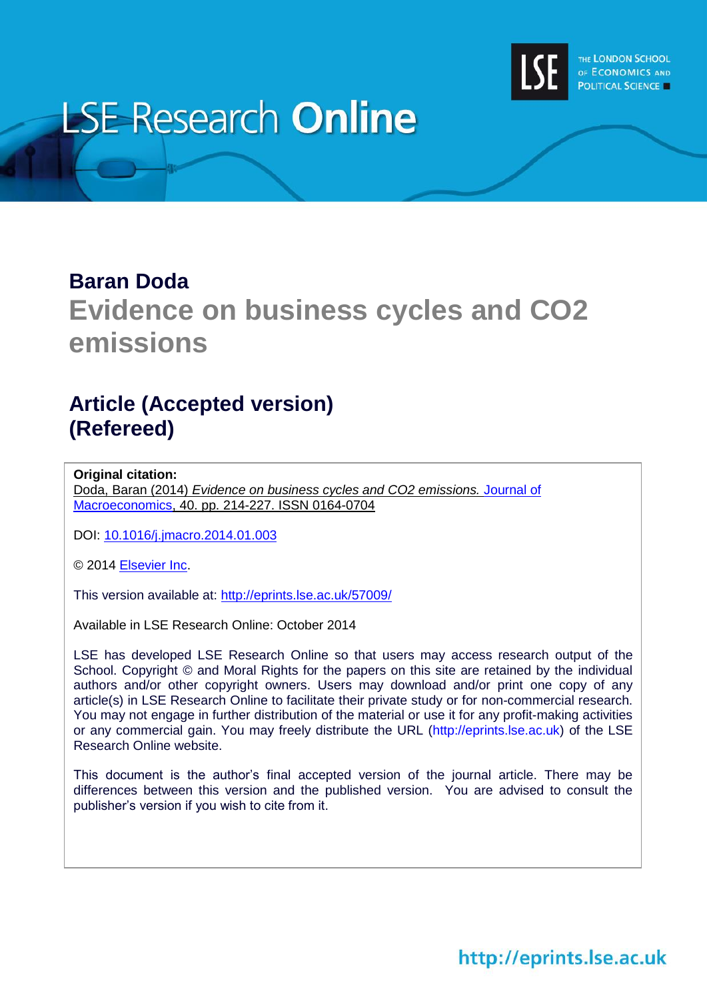

# **LSE Research Online**

# **Baran Doda Evidence on business cycles and CO2 emissions**

# **Article (Accepted version) (Refereed)**

# **Original citation:**

Doda, Baran (2014) *Evidence on business cycles and CO2 emissions.* [Journal of](http://www.sciencedirect.com/science/journal/01640704)  [Macroeconomics,](http://www.sciencedirect.com/science/journal/01640704) 40. pp. 214-227. ISSN 0164-0704

DOI: [10.1016/j.jmacro.2014.01.003](http://dx.doi.org/10.1016/j.jmacro.2014.01.003)

© 2014 [Elsevier Inc.](http://www.elsevier.com/)

This version available at:<http://eprints.lse.ac.uk/57009/>

Available in LSE Research Online: October 2014

LSE has developed LSE Research Online so that users may access research output of the School. Copyright © and Moral Rights for the papers on this site are retained by the individual authors and/or other copyright owners. Users may download and/or print one copy of any article(s) in LSE Research Online to facilitate their private study or for non-commercial research. You may not engage in further distribution of the material or use it for any profit-making activities or any commercial gain. You may freely distribute the URL (http://eprints.lse.ac.uk) of the LSE Research Online website.

This document is the author's final accepted version of the journal article. There may be differences between this version and the published version. You are advised to consult the publisher's version if you wish to cite from it.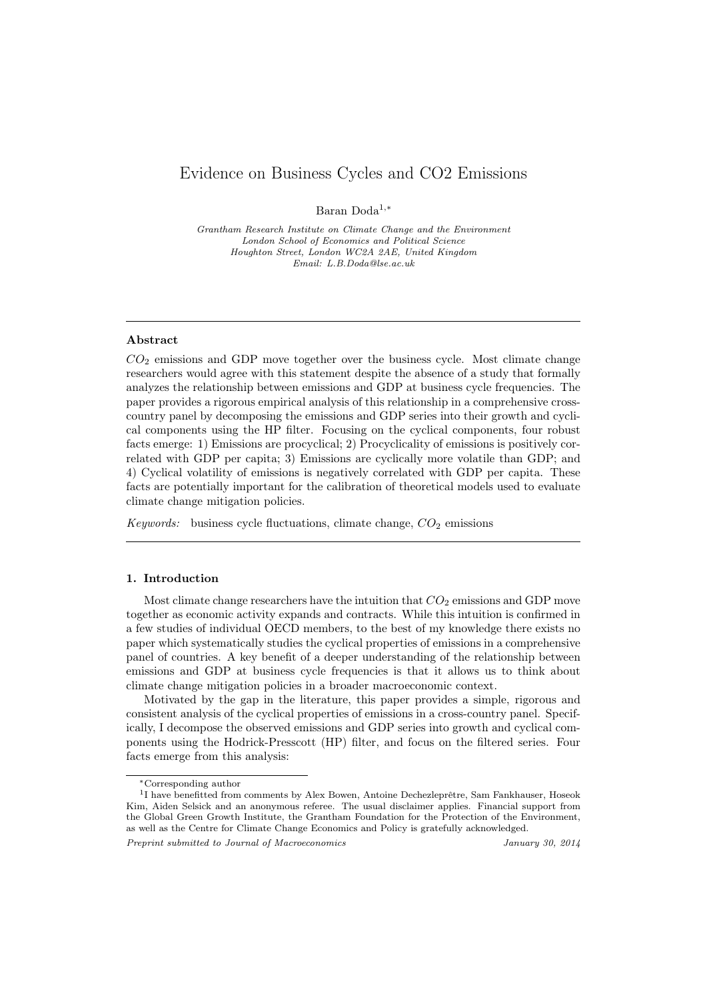# Evidence on Business Cycles and CO2 Emissions

Baran Doda1,<sup>∗</sup>

Grantham Research Institute on Climate Change and the Environment London School of Economics and Political Science Houghton Street, London WC2A 2AE, United Kingdom Email: L.B.Doda@lse.ac.uk

#### Abstract

 $CO<sub>2</sub>$  emissions and GDP move together over the business cycle. Most climate change researchers would agree with this statement despite the absence of a study that formally analyzes the relationship between emissions and GDP at business cycle frequencies. The paper provides a rigorous empirical analysis of this relationship in a comprehensive crosscountry panel by decomposing the emissions and GDP series into their growth and cyclical components using the HP filter. Focusing on the cyclical components, four robust facts emerge: 1) Emissions are procyclical; 2) Procyclicality of emissions is positively correlated with GDP per capita; 3) Emissions are cyclically more volatile than GDP; and 4) Cyclical volatility of emissions is negatively correlated with GDP per capita. These facts are potentially important for the calibration of theoretical models used to evaluate climate change mitigation policies.

Keywords: business cycle fluctuations, climate change,  $CO<sub>2</sub>$  emissions

#### 1. Introduction

Most climate change researchers have the intuition that  $CO<sub>2</sub>$  emissions and GDP move together as economic activity expands and contracts. While this intuition is confirmed in a few studies of individual OECD members, to the best of my knowledge there exists no paper which systematically studies the cyclical properties of emissions in a comprehensive panel of countries. A key benefit of a deeper understanding of the relationship between emissions and GDP at business cycle frequencies is that it allows us to think about climate change mitigation policies in a broader macroeconomic context.

Motivated by the gap in the literature, this paper provides a simple, rigorous and consistent analysis of the cyclical properties of emissions in a cross-country panel. Specifically, I decompose the observed emissions and GDP series into growth and cyclical components using the Hodrick-Presscott (HP) filter, and focus on the filtered series. Four facts emerge from this analysis:

<sup>∗</sup>Corresponding author

<sup>&</sup>lt;sup>1</sup>I have benefitted from comments by Alex Bowen, Antoine Dechezleprêtre, Sam Fankhauser, Hoseok Kim, Aiden Selsick and an anonymous referee. The usual disclaimer applies. Financial support from the Global Green Growth Institute, the Grantham Foundation for the Protection of the Environment, as well as the Centre for Climate Change Economics and Policy is gratefully acknowledged. Preprint submitted to Journal of Macroeconomics January 30, 2014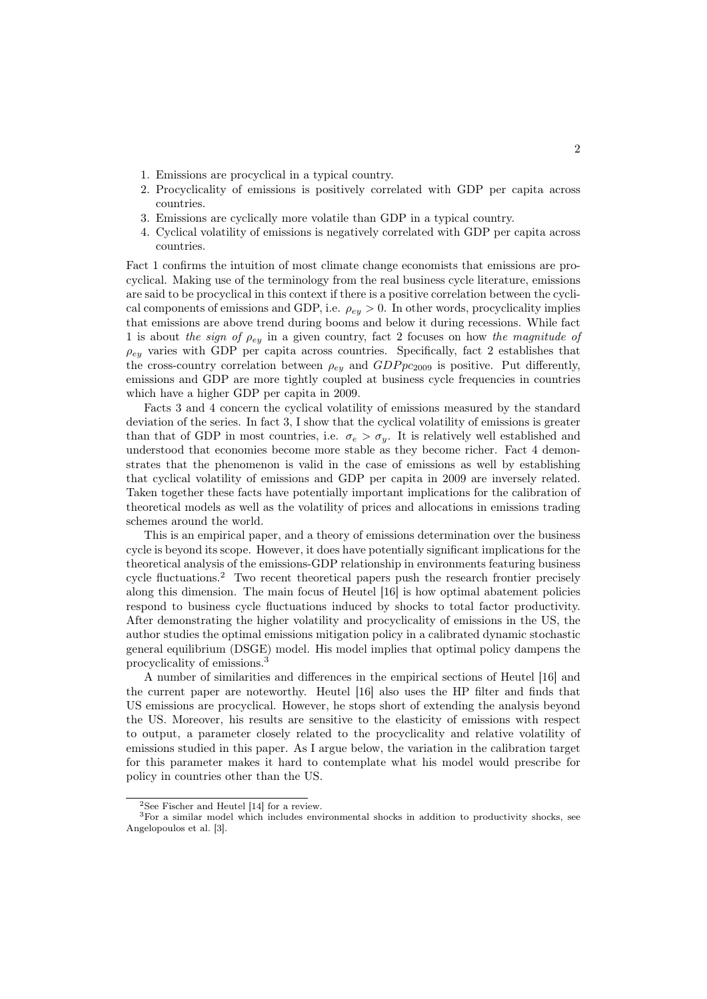- 1. Emissions are procyclical in a typical country.
- 2. Procyclicality of emissions is positively correlated with GDP per capita across countries.
- 3. Emissions are cyclically more volatile than GDP in a typical country.
- 4. Cyclical volatility of emissions is negatively correlated with GDP per capita across countries.

Fact 1 confirms the intuition of most climate change economists that emissions are procyclical. Making use of the terminology from the real business cycle literature, emissions are said to be procyclical in this context if there is a positive correlation between the cyclical components of emissions and GDP, i.e.  $\rho_{ev} > 0$ . In other words, procyclicality implies that emissions are above trend during booms and below it during recessions. While fact 1 is about the sign of  $\rho_{ey}$  in a given country, fact 2 focuses on how the magnitude of  $\rho_{ey}$  varies with GDP per capita across countries. Specifically, fact 2 establishes that the cross-country correlation between  $\rho_{ey}$  and  $GDPpc_{2009}$  is positive. Put differently, emissions and GDP are more tightly coupled at business cycle frequencies in countries which have a higher GDP per capita in 2009.

Facts 3 and 4 concern the cyclical volatility of emissions measured by the standard deviation of the series. In fact 3, I show that the cyclical volatility of emissions is greater than that of GDP in most countries, i.e.  $\sigma_e > \sigma_y$ . It is relatively well established and understood that economies become more stable as they become richer. Fact 4 demonstrates that the phenomenon is valid in the case of emissions as well by establishing that cyclical volatility of emissions and GDP per capita in 2009 are inversely related. Taken together these facts have potentially important implications for the calibration of theoretical models as well as the volatility of prices and allocations in emissions trading schemes around the world.

This is an empirical paper, and a theory of emissions determination over the business cycle is beyond its scope. However, it does have potentially significant implications for the theoretical analysis of the emissions-GDP relationship in environments featuring business cycle fluctuations.<sup>2</sup> Two recent theoretical papers push the research frontier precisely along this dimension. The main focus of Heutel [16] is how optimal abatement policies respond to business cycle fluctuations induced by shocks to total factor productivity. After demonstrating the higher volatility and procyclicality of emissions in the US, the author studies the optimal emissions mitigation policy in a calibrated dynamic stochastic general equilibrium (DSGE) model. His model implies that optimal policy dampens the procyclicality of emissions.<sup>3</sup>

A number of similarities and differences in the empirical sections of Heutel [16] and the current paper are noteworthy. Heutel [16] also uses the HP filter and finds that US emissions are procyclical. However, he stops short of extending the analysis beyond the US. Moreover, his results are sensitive to the elasticity of emissions with respect to output, a parameter closely related to the procyclicality and relative volatility of emissions studied in this paper. As I argue below, the variation in the calibration target for this parameter makes it hard to contemplate what his model would prescribe for policy in countries other than the US.

<sup>2</sup>See Fischer and Heutel [14] for a review.

<sup>3</sup>For a similar model which includes environmental shocks in addition to productivity shocks, see Angelopoulos et al. [3].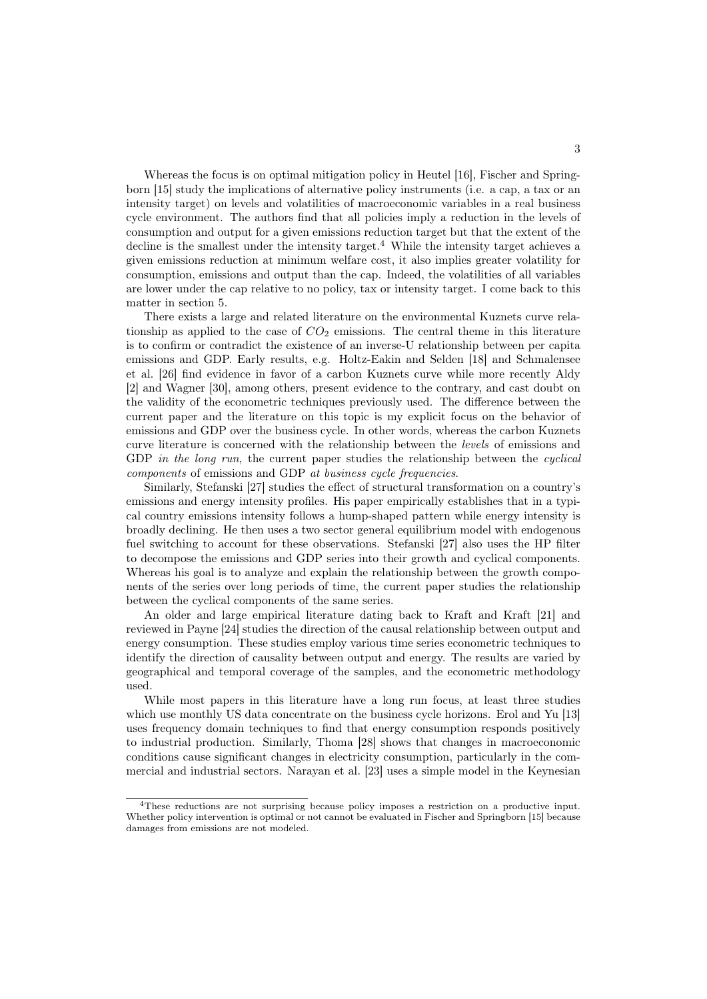Whereas the focus is on optimal mitigation policy in Heutel [16], Fischer and Springborn [15] study the implications of alternative policy instruments (i.e. a cap, a tax or an intensity target) on levels and volatilities of macroeconomic variables in a real business cycle environment. The authors find that all policies imply a reduction in the levels of consumption and output for a given emissions reduction target but that the extent of the decline is the smallest under the intensity target.<sup>4</sup> While the intensity target achieves a given emissions reduction at minimum welfare cost, it also implies greater volatility for consumption, emissions and output than the cap. Indeed, the volatilities of all variables are lower under the cap relative to no policy, tax or intensity target. I come back to this matter in section 5.

There exists a large and related literature on the environmental Kuznets curve relationship as applied to the case of  $CO<sub>2</sub>$  emissions. The central theme in this literature is to confirm or contradict the existence of an inverse-U relationship between per capita emissions and GDP. Early results, e.g. Holtz-Eakin and Selden [18] and Schmalensee et al. [26] find evidence in favor of a carbon Kuznets curve while more recently Aldy [2] and Wagner [30], among others, present evidence to the contrary, and cast doubt on the validity of the econometric techniques previously used. The difference between the current paper and the literature on this topic is my explicit focus on the behavior of emissions and GDP over the business cycle. In other words, whereas the carbon Kuznets curve literature is concerned with the relationship between the levels of emissions and GDP in the long run, the current paper studies the relationship between the cyclical components of emissions and GDP at business cycle frequencies.

Similarly, Stefanski [27] studies the effect of structural transformation on a country's emissions and energy intensity profiles. His paper empirically establishes that in a typical country emissions intensity follows a hump-shaped pattern while energy intensity is broadly declining. He then uses a two sector general equilibrium model with endogenous fuel switching to account for these observations. Stefanski [27] also uses the HP filter to decompose the emissions and GDP series into their growth and cyclical components. Whereas his goal is to analyze and explain the relationship between the growth components of the series over long periods of time, the current paper studies the relationship between the cyclical components of the same series.

An older and large empirical literature dating back to Kraft and Kraft [21] and reviewed in Payne [24] studies the direction of the causal relationship between output and energy consumption. These studies employ various time series econometric techniques to identify the direction of causality between output and energy. The results are varied by geographical and temporal coverage of the samples, and the econometric methodology used.

While most papers in this literature have a long run focus, at least three studies which use monthly US data concentrate on the business cycle horizons. Erol and Yu [13] uses frequency domain techniques to find that energy consumption responds positively to industrial production. Similarly, Thoma [28] shows that changes in macroeconomic conditions cause significant changes in electricity consumption, particularly in the commercial and industrial sectors. Narayan et al. [23] uses a simple model in the Keynesian

<sup>4</sup>These reductions are not surprising because policy imposes a restriction on a productive input. Whether policy intervention is optimal or not cannot be evaluated in Fischer and Springborn [15] because damages from emissions are not modeled.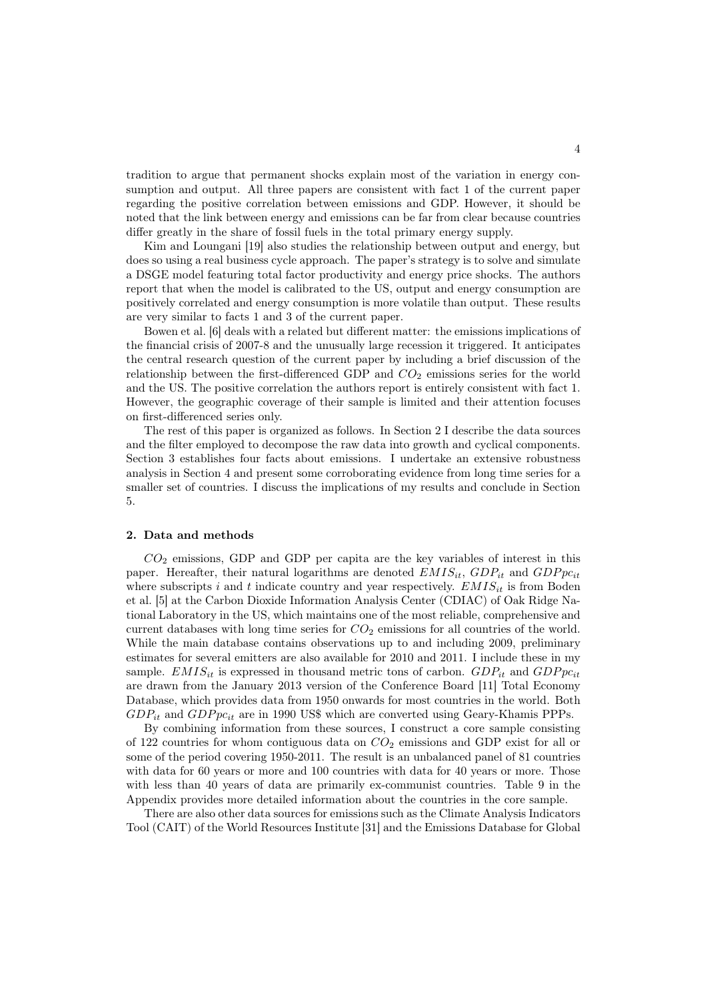tradition to argue that permanent shocks explain most of the variation in energy consumption and output. All three papers are consistent with fact 1 of the current paper regarding the positive correlation between emissions and GDP. However, it should be noted that the link between energy and emissions can be far from clear because countries differ greatly in the share of fossil fuels in the total primary energy supply.

Kim and Loungani [19] also studies the relationship between output and energy, but does so using a real business cycle approach. The paper's strategy is to solve and simulate a DSGE model featuring total factor productivity and energy price shocks. The authors report that when the model is calibrated to the US, output and energy consumption are positively correlated and energy consumption is more volatile than output. These results are very similar to facts 1 and 3 of the current paper.

Bowen et al. [6] deals with a related but different matter: the emissions implications of the financial crisis of 2007-8 and the unusually large recession it triggered. It anticipates the central research question of the current paper by including a brief discussion of the relationship between the first-differenced GDP and  $CO<sub>2</sub>$  emissions series for the world and the US. The positive correlation the authors report is entirely consistent with fact 1. However, the geographic coverage of their sample is limited and their attention focuses on first-differenced series only.

The rest of this paper is organized as follows. In Section 2 I describe the data sources and the filter employed to decompose the raw data into growth and cyclical components. Section 3 establishes four facts about emissions. I undertake an extensive robustness analysis in Section 4 and present some corroborating evidence from long time series for a smaller set of countries. I discuss the implications of my results and conclude in Section 5.

#### 2. Data and methods

 $CO<sub>2</sub>$  emissions, GDP and GDP per capita are the key variables of interest in this paper. Hereafter, their natural logarithms are denoted  $EMIS_{it}$ ,  $GDP_{it}$  and  $GDP_{i}$ where subscripts i and t indicate country and year respectively.  $EMIS_{it}$  is from Boden et al. [5] at the Carbon Dioxide Information Analysis Center (CDIAC) of Oak Ridge National Laboratory in the US, which maintains one of the most reliable, comprehensive and current databases with long time series for  $CO<sub>2</sub>$  emissions for all countries of the world. While the main database contains observations up to and including 2009, preliminary estimates for several emitters are also available for 2010 and 2011. I include these in my sample.  $EMIS_{it}$  is expressed in thousand metric tons of carbon.  $GDP_{it}$  and  $GDP_{i}$ are drawn from the January 2013 version of the Conference Board [11] Total Economy Database, which provides data from 1950 onwards for most countries in the world. Both  $GDP_{it}$  and  $GDP_{i}$  are in 1990 US\$ which are converted using Geary-Khamis PPPs.

By combining information from these sources, I construct a core sample consisting of 122 countries for whom contiguous data on  $CO<sub>2</sub>$  emissions and GDP exist for all or some of the period covering 1950-2011. The result is an unbalanced panel of 81 countries with data for 60 years or more and 100 countries with data for 40 years or more. Those with less than 40 years of data are primarily ex-communist countries. Table 9 in the Appendix provides more detailed information about the countries in the core sample.

There are also other data sources for emissions such as the Climate Analysis Indicators Tool (CAIT) of the World Resources Institute [31] and the Emissions Database for Global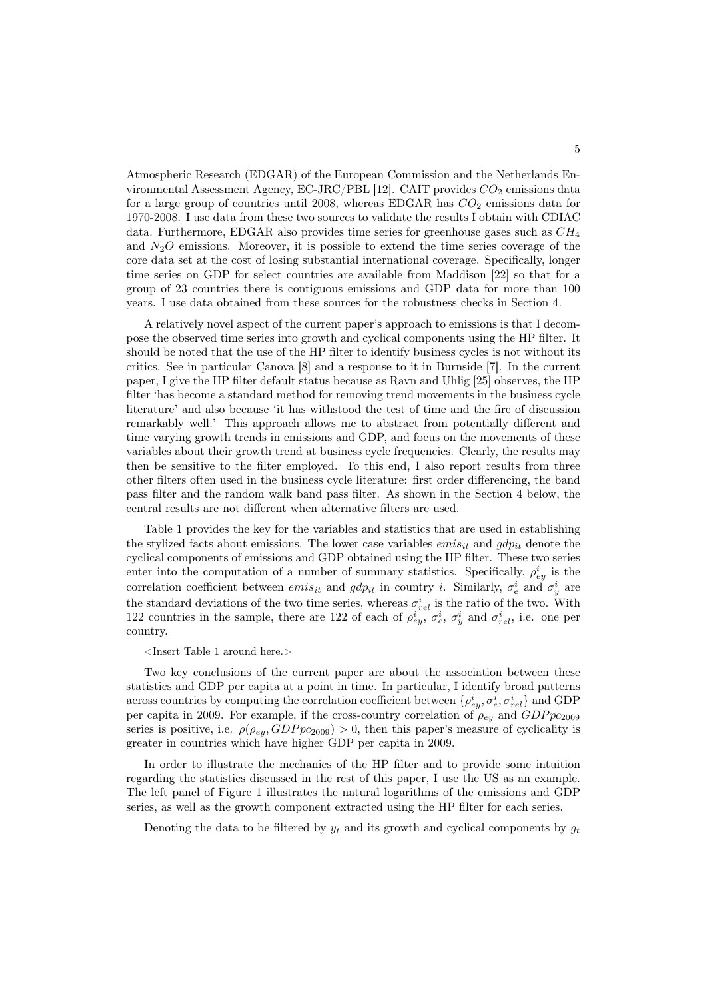Atmospheric Research (EDGAR) of the European Commission and the Netherlands Environmental Assessment Agency, EC-JRC/PBL [12]. CAIT provides  $CO<sub>2</sub>$  emissions data for a large group of countries until 2008, whereas EDGAR has  $CO<sub>2</sub>$  emissions data for 1970-2008. I use data from these two sources to validate the results I obtain with CDIAC data. Furthermore, EDGAR also provides time series for greenhouse gases such as  $CH<sub>4</sub>$ and  $N_2O$  emissions. Moreover, it is possible to extend the time series coverage of the core data set at the cost of losing substantial international coverage. Specifically, longer time series on GDP for select countries are available from Maddison [22] so that for a group of 23 countries there is contiguous emissions and GDP data for more than 100 years. I use data obtained from these sources for the robustness checks in Section 4.

A relatively novel aspect of the current paper's approach to emissions is that I decompose the observed time series into growth and cyclical components using the HP filter. It should be noted that the use of the HP filter to identify business cycles is not without its critics. See in particular Canova [8] and a response to it in Burnside [7]. In the current paper, I give the HP filter default status because as Ravn and Uhlig [25] observes, the HP filter 'has become a standard method for removing trend movements in the business cycle literature' and also because 'it has withstood the test of time and the fire of discussion remarkably well.' This approach allows me to abstract from potentially different and time varying growth trends in emissions and GDP, and focus on the movements of these variables about their growth trend at business cycle frequencies. Clearly, the results may then be sensitive to the filter employed. To this end, I also report results from three other filters often used in the business cycle literature: first order differencing, the band pass filter and the random walk band pass filter. As shown in the Section 4 below, the central results are not different when alternative filters are used.

Table 1 provides the key for the variables and statistics that are used in establishing the stylized facts about emissions. The lower case variables  $emis_{it}$  and  $gdp_{it}$  denote the cyclical components of emissions and GDP obtained using the HP filter. These two series enter into the computation of a number of summary statistics. Specifically,  $\rho_{ey}^i$  is the correlation coefficient between  $emis_{it}$  and  $gdp_{it}$  in country i. Similarly,  $\sigma_e^i$  and  $\sigma_y^i$  are the standard deviations of the two time series, whereas  $\sigma_{rel}^i$  is the ratio of the two. With 122 countries in the sample, there are 122 of each of  $\rho_{ey}^i$ ,  $\sigma_e^i$ ,  $\sigma_y^i$  and  $\sigma_{rel}^i$ , i.e. one per country.

#### $<$  Insert Table 1 around here. $>$

Two key conclusions of the current paper are about the association between these statistics and GDP per capita at a point in time. In particular, I identify broad patterns across countries by computing the correlation coefficient between  $\{\rho_{ey}^i, \sigma_e^i, \sigma_{rel}^i\}$  and GDP per capita in 2009. For example, if the cross-country correlation of  $\rho_{ev}$  and  $GDPpc_{2009}$ series is positive, i.e.  $\rho(\rho_{ey}, GDPp_{c2009}) > 0$ , then this paper's measure of cyclicality is greater in countries which have higher GDP per capita in 2009.

In order to illustrate the mechanics of the HP filter and to provide some intuition regarding the statistics discussed in the rest of this paper, I use the US as an example. The left panel of Figure 1 illustrates the natural logarithms of the emissions and GDP series, as well as the growth component extracted using the HP filter for each series.

Denoting the data to be filtered by  $y_t$  and its growth and cyclical components by  $g_t$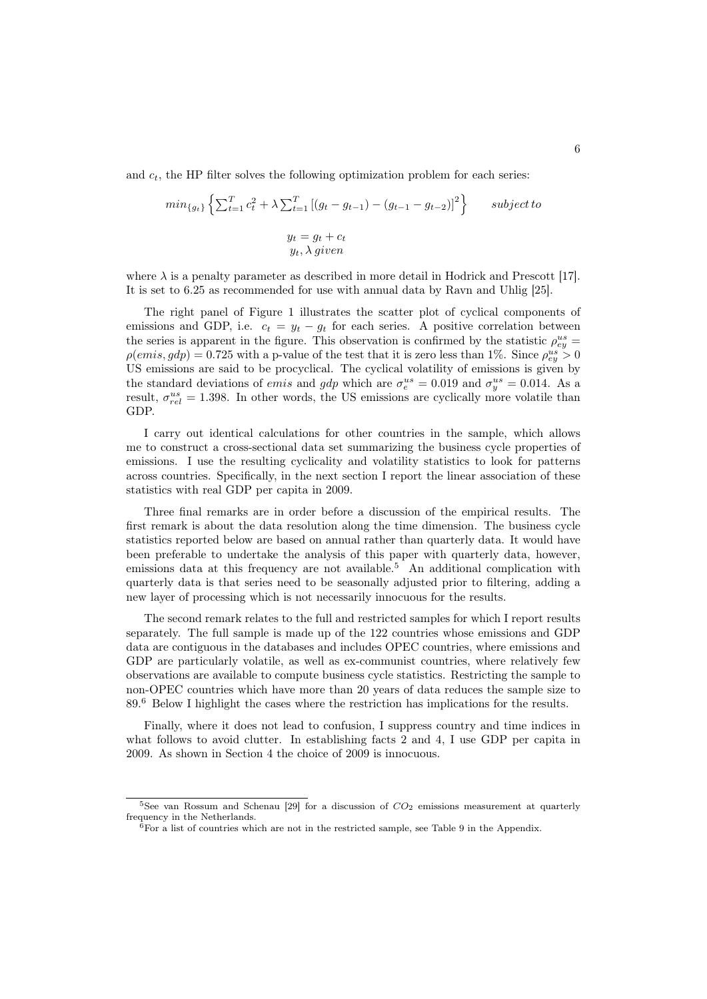and  $c_t$ , the HP filter solves the following optimization problem for each series:

$$
min_{\{g_t\}} \left\{ \sum_{t=1}^T c_t^2 + \lambda \sum_{t=1}^T \left[ (g_t - g_{t-1}) - (g_{t-1} - g_{t-2}) \right]^2 \right\} \qquad subject\ to
$$

$$
y_t = g_t + c_t
$$

$$
y_t, \lambda \ given
$$

where  $\lambda$  is a penalty parameter as described in more detail in Hodrick and Prescott [17]. It is set to 6.25 as recommended for use with annual data by Ravn and Uhlig [25].

The right panel of Figure 1 illustrates the scatter plot of cyclical components of emissions and GDP, i.e.  $c_t = y_t - g_t$  for each series. A positive correlation between the series is apparent in the figure. This observation is confirmed by the statistic  $\rho_{ey}^{us} =$  $\rho(emis, gdp) = 0.725$  with a p-value of the test that it is zero less than 1%. Since  $\rho_{ey}^{us} > 0$ US emissions are said to be procyclical. The cyclical volatility of emissions is given by the standard deviations of *emis* and gdp which are  $\sigma_e^{us} = 0.019$  and  $\sigma_y^{us} = 0.014$ . As a result,  $\sigma_{rel}^{us} = 1.398$ . In other words, the US emissions are cyclically more volatile than GDP.

I carry out identical calculations for other countries in the sample, which allows me to construct a cross-sectional data set summarizing the business cycle properties of emissions. I use the resulting cyclicality and volatility statistics to look for patterns across countries. Specifically, in the next section I report the linear association of these statistics with real GDP per capita in 2009.

Three final remarks are in order before a discussion of the empirical results. The first remark is about the data resolution along the time dimension. The business cycle statistics reported below are based on annual rather than quarterly data. It would have been preferable to undertake the analysis of this paper with quarterly data, however, emissions data at this frequency are not available.<sup>5</sup> An additional complication with quarterly data is that series need to be seasonally adjusted prior to filtering, adding a new layer of processing which is not necessarily innocuous for the results.

The second remark relates to the full and restricted samples for which I report results separately. The full sample is made up of the 122 countries whose emissions and GDP data are contiguous in the databases and includes OPEC countries, where emissions and GDP are particularly volatile, as well as ex-communist countries, where relatively few observations are available to compute business cycle statistics. Restricting the sample to non-OPEC countries which have more than 20 years of data reduces the sample size to 89.<sup>6</sup> Below I highlight the cases where the restriction has implications for the results.

Finally, where it does not lead to confusion, I suppress country and time indices in what follows to avoid clutter. In establishing facts 2 and 4, I use GDP per capita in 2009. As shown in Section 4 the choice of 2009 is innocuous.

<sup>&</sup>lt;sup>5</sup>See van Rossum and Schenau [29] for a discussion of  $CO<sub>2</sub>$  emissions measurement at quarterly frequency in the Netherlands.

 $6$ For a list of countries which are not in the restricted sample, see Table 9 in the Appendix.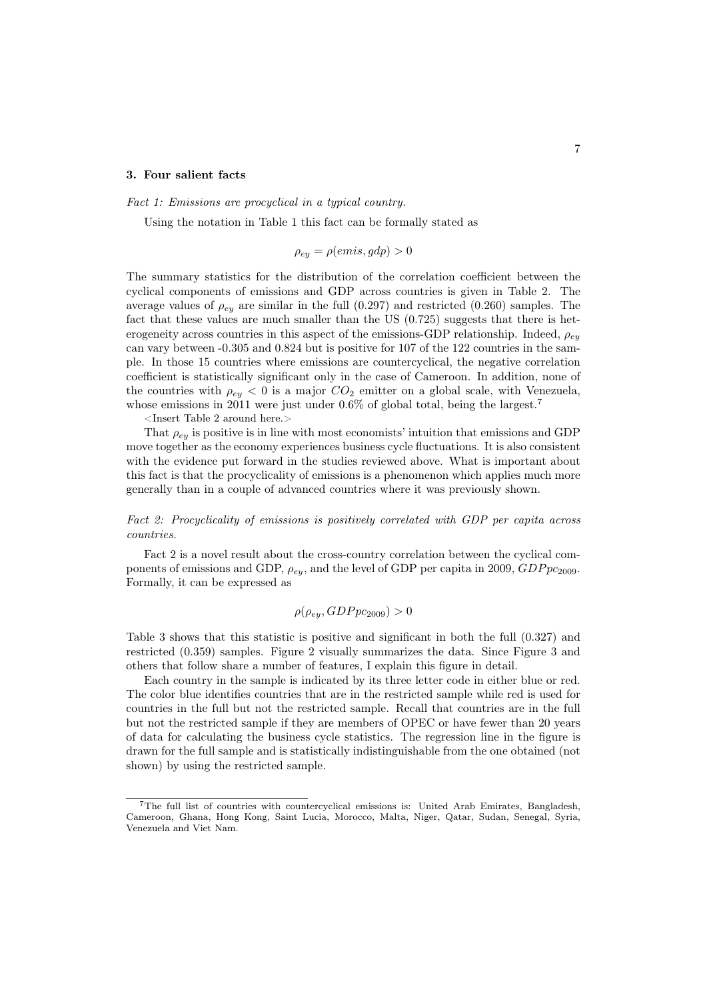#### 3. Four salient facts

Fact 1: Emissions are procyclical in a typical country.

Using the notation in Table 1 this fact can be formally stated as

 $\rho_{ey} = \rho(emis, gdp) > 0$ 

The summary statistics for the distribution of the correlation coefficient between the cyclical components of emissions and GDP across countries is given in Table 2. The average values of  $\rho_{eu}$  are similar in the full (0.297) and restricted (0.260) samples. The fact that these values are much smaller than the US (0.725) suggests that there is heterogeneity across countries in this aspect of the emissions-GDP relationship. Indeed,  $\rho_{ev}$ can vary between -0.305 and 0.824 but is positive for 107 of the 122 countries in the sample. In those 15 countries where emissions are countercyclical, the negative correlation coefficient is statistically significant only in the case of Cameroon. In addition, none of the countries with  $\rho_{ev} < 0$  is a major  $CO_2$  emitter on a global scale, with Venezuela, whose emissions in 2011 were just under 0.6% of global total, being the largest.<sup>7</sup>

<Insert Table 2 around here.>

That  $\rho_{ey}$  is positive is in line with most economists' intuition that emissions and GDP move together as the economy experiences business cycle fluctuations. It is also consistent with the evidence put forward in the studies reviewed above. What is important about this fact is that the procyclicality of emissions is a phenomenon which applies much more generally than in a couple of advanced countries where it was previously shown.

Fact 2: Procyclicality of emissions is positively correlated with GDP per capita across countries.

Fact 2 is a novel result about the cross-country correlation between the cyclical components of emissions and GDP,  $\rho_{ey}$ , and the level of GDP per capita in 2009,  $GDPpc<sub>2009</sub>$ . Formally, it can be expressed as

# $\rho(\rho_{eu}, GDP p_{C2009}) > 0$

Table 3 shows that this statistic is positive and significant in both the full (0.327) and restricted (0.359) samples. Figure 2 visually summarizes the data. Since Figure 3 and others that follow share a number of features, I explain this figure in detail.

Each country in the sample is indicated by its three letter code in either blue or red. The color blue identifies countries that are in the restricted sample while red is used for countries in the full but not the restricted sample. Recall that countries are in the full but not the restricted sample if they are members of OPEC or have fewer than 20 years of data for calculating the business cycle statistics. The regression line in the figure is drawn for the full sample and is statistically indistinguishable from the one obtained (not shown) by using the restricted sample.

<sup>7</sup>The full list of countries with countercyclical emissions is: United Arab Emirates, Bangladesh, Cameroon, Ghana, Hong Kong, Saint Lucia, Morocco, Malta, Niger, Qatar, Sudan, Senegal, Syria, Venezuela and Viet Nam.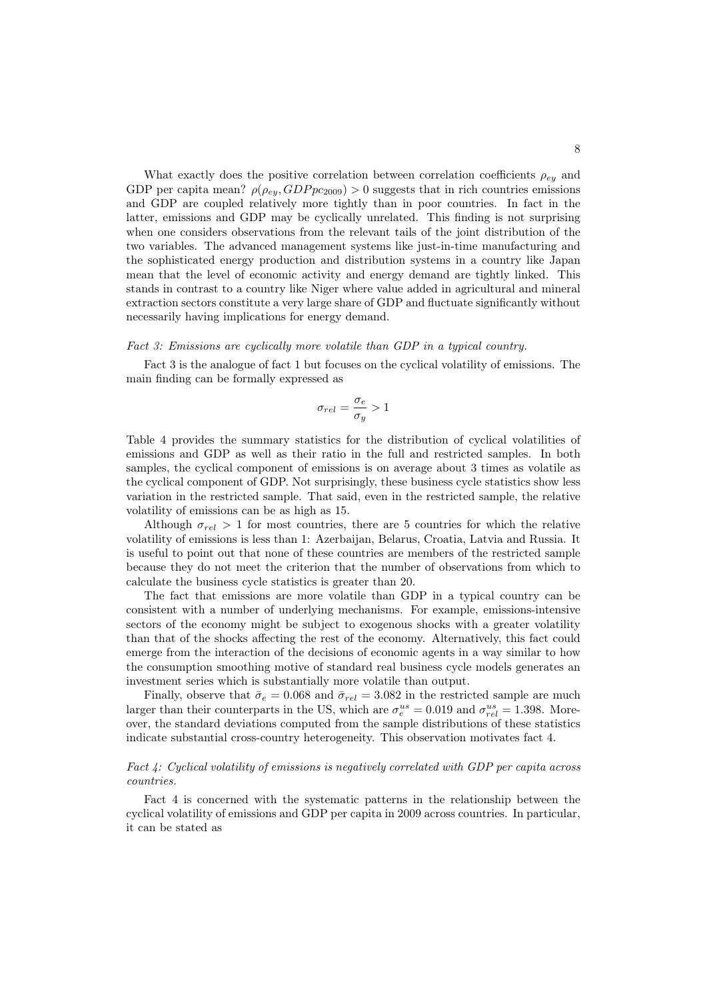What exactly does the positive correlation between correlation coefficients  $\rho_{ev}$  and GDP per capita mean?  $\rho(\rho_{ey}, GDPp_{c2009}) > 0$  suggests that in rich countries emissions and GDP are coupled relatively more tightly than in poor countries. In fact in the latter, emissions and GDP may be cyclically unrelated. This finding is not surprising when one considers observations from the relevant tails of the joint distribution of the two variables. The advanced management systems like just-in-time manufacturing and the sophisticated energy production and distribution systems in a country like Japan mean that the level of economic activity and energy demand are tightly linked. This stands in contrast to a country like Niger where value added in agricultural and mineral extraction sectors constitute a very large share of GDP and fluctuate significantly without necessarily having implications for energy demand.

#### Fact 3: Emissions are cyclically more volatile than GDP in a typical country.

Fact 3 is the analogue of fact 1 but focuses on the cyclical volatility of emissions. The main finding can be formally expressed as

$$
\sigma_{rel}=\frac{\sigma_e}{\sigma_y}>1
$$

Table 4 provides the summary statistics for the distribution of cyclical volatilities of emissions and GDP as well as their ratio in the full and restricted samples. In both samples, the cyclical component of emissions is on average about 3 times as volatile as the cyclical component of GDP. Not surprisingly, these business cycle statistics show less variation in the restricted sample. That said, even in the restricted sample, the relative volatility of emissions can be as high as 15.

Although  $\sigma_{rel} > 1$  for most countries, there are 5 countries for which the relative volatility of emissions is less than 1: Azerbaijan, Belarus, Croatia, Latvia and Russia. It is useful to point out that none of these countries are members of the restricted sample because they do not meet the criterion that the number of observations from which to calculate the business cycle statistics is greater than 20.

The fact that emissions are more volatile than GDP in a typical country can be consistent with a number of underlying mechanisms. For example, emissions-intensive sectors of the economy might be subject to exogenous shocks with a greater volatility than that of the shocks affecting the rest of the economy. Alternatively, this fact could emerge from the interaction of the decisions of economic agents in a way similar to how the consumption smoothing motive of standard real business cycle models generates an investment series which is substantially more volatile than output.

Finally, observe that  $\bar{\sigma}_e = 0.068$  and  $\bar{\sigma}_{rel} = 3.082$  in the restricted sample are much larger than their counterparts in the US, which are  $\sigma_e^{us} = 0.019$  and  $\sigma_{rel}^{us} = 1.398$ . Moreover, the standard deviations computed from the sample distributions of these statistics indicate substantial cross-country heterogeneity. This observation motivates fact 4.

### Fact 4: Cyclical volatility of emissions is negatively correlated with GDP per capita across countries.

Fact 4 is concerned with the systematic patterns in the relationship between the cyclical volatility of emissions and GDP per capita in 2009 across countries. In particular, it can be stated as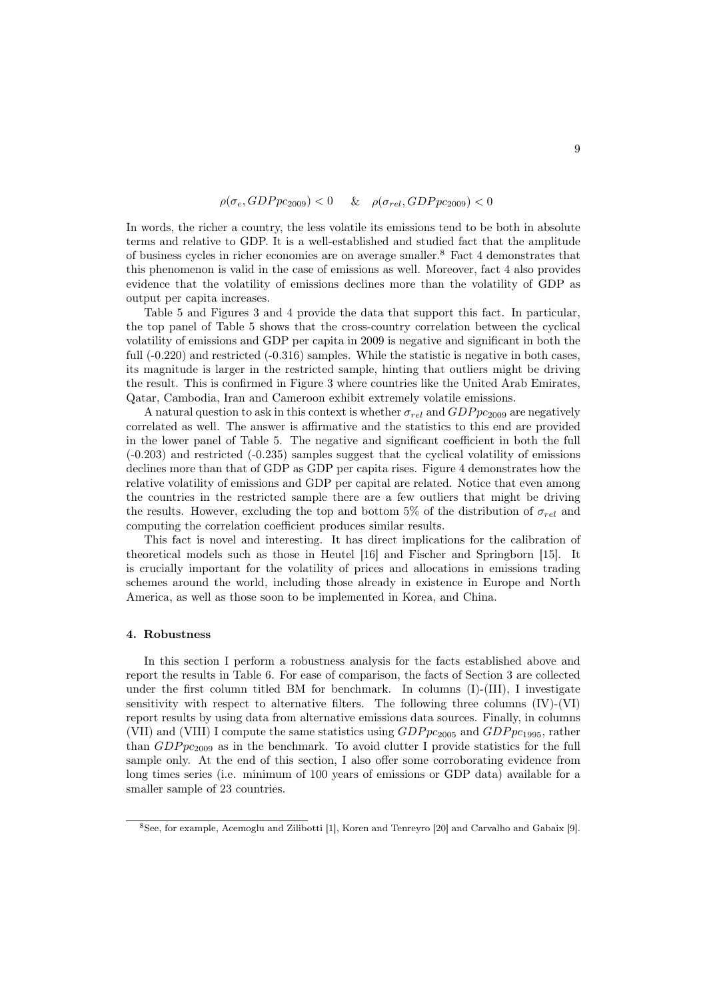# $\rho(\sigma_e, GDP p c_{2009}) < 0 \quad \& \quad \rho(\sigma_{rel}, GDP p c_{2009}) < 0$

In words, the richer a country, the less volatile its emissions tend to be both in absolute terms and relative to GDP. It is a well-established and studied fact that the amplitude of business cycles in richer economies are on average smaller.<sup>8</sup> Fact 4 demonstrates that this phenomenon is valid in the case of emissions as well. Moreover, fact 4 also provides evidence that the volatility of emissions declines more than the volatility of GDP as output per capita increases.

Table 5 and Figures 3 and 4 provide the data that support this fact. In particular, the top panel of Table 5 shows that the cross-country correlation between the cyclical volatility of emissions and GDP per capita in 2009 is negative and significant in both the full  $(-0.220)$  and restricted  $(-0.316)$  samples. While the statistic is negative in both cases, its magnitude is larger in the restricted sample, hinting that outliers might be driving the result. This is confirmed in Figure 3 where countries like the United Arab Emirates, Qatar, Cambodia, Iran and Cameroon exhibit extremely volatile emissions.

A natural question to ask in this context is whether  $\sigma_{rel}$  and  $GDPpc_{2009}$  are negatively correlated as well. The answer is affirmative and the statistics to this end are provided in the lower panel of Table 5. The negative and significant coefficient in both the full (-0.203) and restricted (-0.235) samples suggest that the cyclical volatility of emissions declines more than that of GDP as GDP per capita rises. Figure 4 demonstrates how the relative volatility of emissions and GDP per capital are related. Notice that even among the countries in the restricted sample there are a few outliers that might be driving the results. However, excluding the top and bottom 5% of the distribution of  $\sigma_{rel}$  and computing the correlation coefficient produces similar results.

This fact is novel and interesting. It has direct implications for the calibration of theoretical models such as those in Heutel [16] and Fischer and Springborn [15]. It is crucially important for the volatility of prices and allocations in emissions trading schemes around the world, including those already in existence in Europe and North America, as well as those soon to be implemented in Korea, and China.

#### 4. Robustness

In this section I perform a robustness analysis for the facts established above and report the results in Table 6. For ease of comparison, the facts of Section 3 are collected under the first column titled BM for benchmark. In columns (I)-(III), I investigate sensitivity with respect to alternative filters. The following three columns (IV)-(VI) report results by using data from alternative emissions data sources. Finally, in columns (VII) and (VIII) I compute the same statistics using  $GDPp_{c2005}$  and  $GDPp_{c1995}$ , rather than  $GDPpc<sub>2009</sub>$  as in the benchmark. To avoid clutter I provide statistics for the full sample only. At the end of this section, I also offer some corroborating evidence from long times series (i.e. minimum of 100 years of emissions or GDP data) available for a smaller sample of 23 countries.

<sup>8</sup>See, for example, Acemoglu and Zilibotti [1], Koren and Tenreyro [20] and Carvalho and Gabaix [9].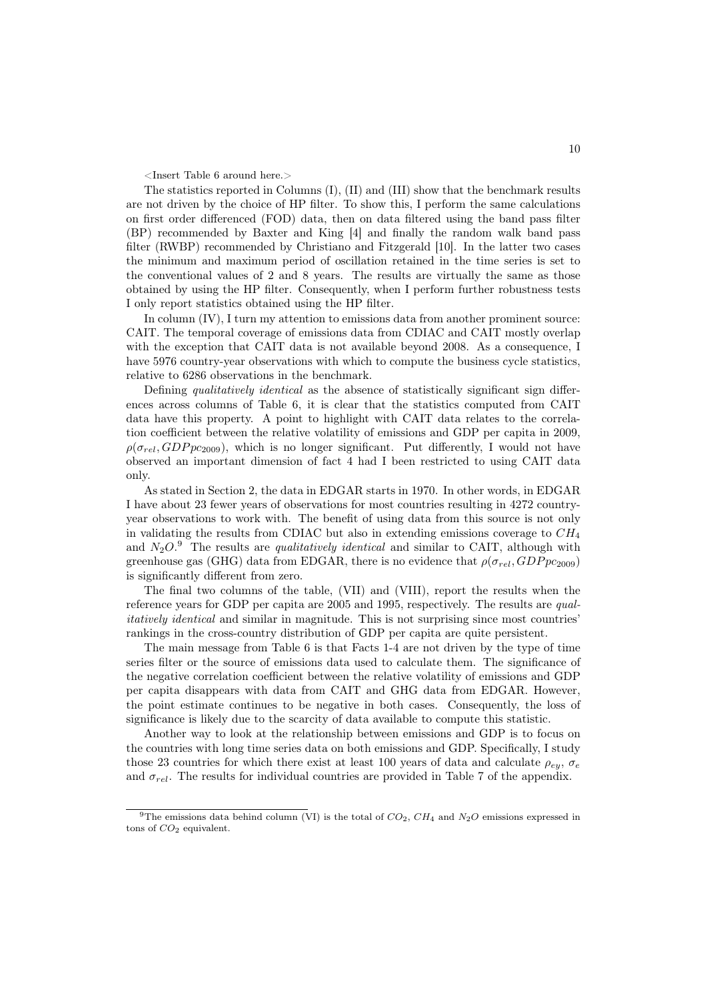$\langle$ Insert Table 6 around here. $>$ 

The statistics reported in Columns (I), (II) and (III) show that the benchmark results are not driven by the choice of HP filter. To show this, I perform the same calculations on first order differenced (FOD) data, then on data filtered using the band pass filter (BP) recommended by Baxter and King [4] and finally the random walk band pass filter (RWBP) recommended by Christiano and Fitzgerald [10]. In the latter two cases the minimum and maximum period of oscillation retained in the time series is set to the conventional values of 2 and 8 years. The results are virtually the same as those obtained by using the HP filter. Consequently, when I perform further robustness tests I only report statistics obtained using the HP filter.

In column (IV), I turn my attention to emissions data from another prominent source: CAIT. The temporal coverage of emissions data from CDIAC and CAIT mostly overlap with the exception that CAIT data is not available beyond 2008. As a consequence, I have 5976 country-year observations with which to compute the business cycle statistics, relative to 6286 observations in the benchmark.

Defining qualitatively identical as the absence of statistically significant sign differences across columns of Table 6, it is clear that the statistics computed from CAIT data have this property. A point to highlight with CAIT data relates to the correlation coefficient between the relative volatility of emissions and GDP per capita in 2009,  $\rho(\sigma_{rel}, GDPp_{C2009})$ , which is no longer significant. Put differently, I would not have observed an important dimension of fact 4 had I been restricted to using CAIT data only.

As stated in Section 2, the data in EDGAR starts in 1970. In other words, in EDGAR I have about 23 fewer years of observations for most countries resulting in 4272 countryyear observations to work with. The benefit of using data from this source is not only in validating the results from CDIAC but also in extending emissions coverage to  $CH_4$ and  $N_2O$ .<sup>9</sup> The results are *qualitatively identical* and similar to CAIT, although with greenhouse gas (GHG) data from EDGAR, there is no evidence that  $\rho(\sigma_{rel}, GDP p_{C2009})$ is significantly different from zero.

The final two columns of the table, (VII) and (VIII), report the results when the reference years for GDP per capita are 2005 and 1995, respectively. The results are qualitatively identical and similar in magnitude. This is not surprising since most countries' rankings in the cross-country distribution of GDP per capita are quite persistent.

The main message from Table 6 is that Facts 1-4 are not driven by the type of time series filter or the source of emissions data used to calculate them. The significance of the negative correlation coefficient between the relative volatility of emissions and GDP per capita disappears with data from CAIT and GHG data from EDGAR. However, the point estimate continues to be negative in both cases. Consequently, the loss of significance is likely due to the scarcity of data available to compute this statistic.

Another way to look at the relationship between emissions and GDP is to focus on the countries with long time series data on both emissions and GDP. Specifically, I study those 23 countries for which there exist at least 100 years of data and calculate  $\rho_{eu}$ ,  $\sigma_{e}$ and  $\sigma_{rel}$ . The results for individual countries are provided in Table 7 of the appendix.

<sup>&</sup>lt;sup>9</sup>The emissions data behind column (VI) is the total of  $CO_2$ ,  $CH_4$  and  $N_2O$  emissions expressed in tons of  $CO<sub>2</sub>$  equivalent.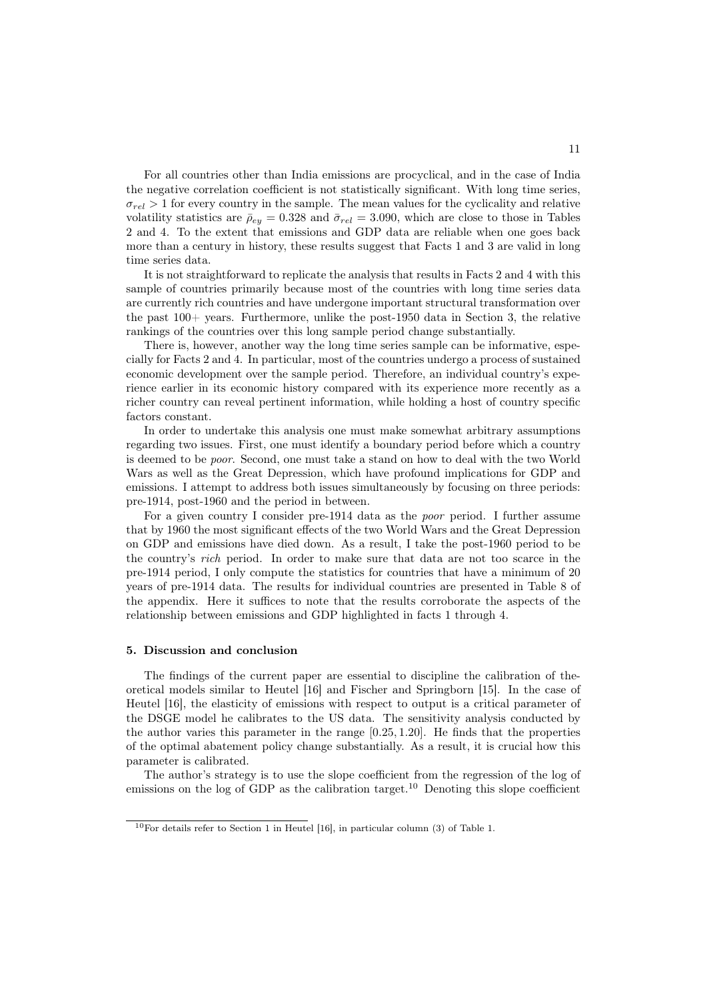For all countries other than India emissions are procyclical, and in the case of India the negative correlation coefficient is not statistically significant. With long time series,  $\sigma_{rel} > 1$  for every country in the sample. The mean values for the cyclicality and relative volatility statistics are  $\bar{\rho}_{ev} = 0.328$  and  $\bar{\sigma}_{rel} = 3.090$ , which are close to those in Tables 2 and 4. To the extent that emissions and GDP data are reliable when one goes back more than a century in history, these results suggest that Facts 1 and 3 are valid in long time series data.

It is not straightforward to replicate the analysis that results in Facts 2 and 4 with this sample of countries primarily because most of the countries with long time series data are currently rich countries and have undergone important structural transformation over the past 100+ years. Furthermore, unlike the post-1950 data in Section 3, the relative rankings of the countries over this long sample period change substantially.

There is, however, another way the long time series sample can be informative, especially for Facts 2 and 4. In particular, most of the countries undergo a process of sustained economic development over the sample period. Therefore, an individual country's experience earlier in its economic history compared with its experience more recently as a richer country can reveal pertinent information, while holding a host of country specific factors constant.

In order to undertake this analysis one must make somewhat arbitrary assumptions regarding two issues. First, one must identify a boundary period before which a country is deemed to be poor. Second, one must take a stand on how to deal with the two World Wars as well as the Great Depression, which have profound implications for GDP and emissions. I attempt to address both issues simultaneously by focusing on three periods: pre-1914, post-1960 and the period in between.

For a given country I consider pre-1914 data as the poor period. I further assume that by 1960 the most significant effects of the two World Wars and the Great Depression on GDP and emissions have died down. As a result, I take the post-1960 period to be the country's rich period. In order to make sure that data are not too scarce in the pre-1914 period, I only compute the statistics for countries that have a minimum of 20 years of pre-1914 data. The results for individual countries are presented in Table 8 of the appendix. Here it suffices to note that the results corroborate the aspects of the relationship between emissions and GDP highlighted in facts 1 through 4.

#### 5. Discussion and conclusion

The findings of the current paper are essential to discipline the calibration of theoretical models similar to Heutel [16] and Fischer and Springborn [15]. In the case of Heutel [16], the elasticity of emissions with respect to output is a critical parameter of the DSGE model he calibrates to the US data. The sensitivity analysis conducted by the author varies this parameter in the range [0.25, 1.20]. He finds that the properties of the optimal abatement policy change substantially. As a result, it is crucial how this parameter is calibrated.

The author's strategy is to use the slope coefficient from the regression of the log of emissions on the log of GDP as the calibration target.<sup>10</sup> Denoting this slope coefficient

 $10$ For details refer to Section 1 in Heutel [16], in particular column (3) of Table 1.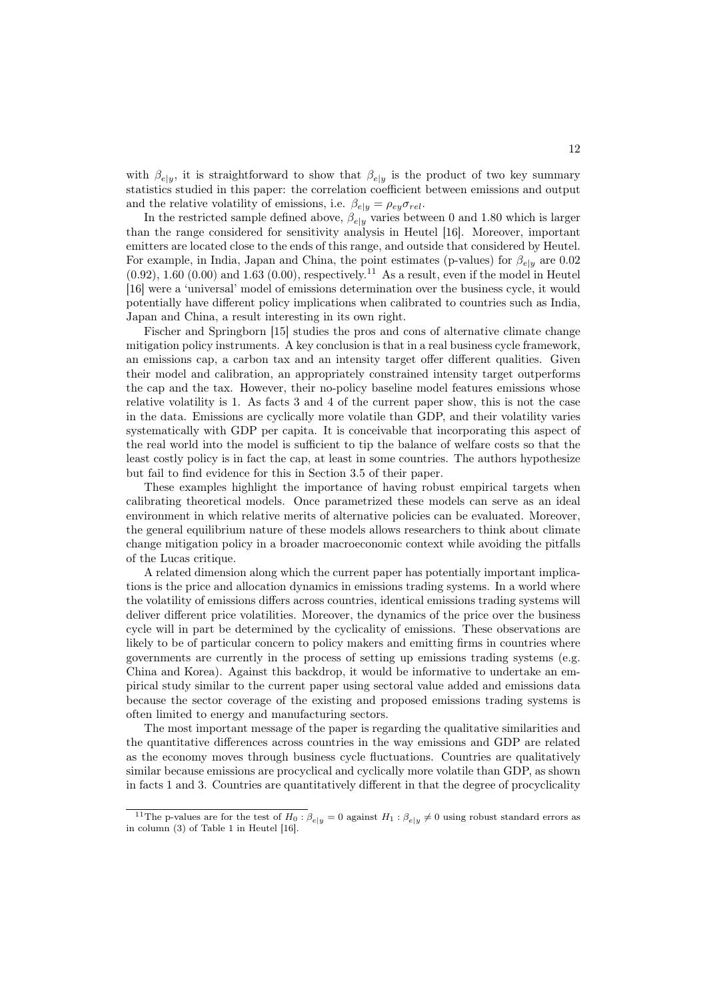with  $\beta_{e|y}$ , it is straightforward to show that  $\beta_{e|y}$  is the product of two key summary statistics studied in this paper: the correlation coefficient between emissions and output and the relative volatility of emissions, i.e.  $\beta_{e|y} = \rho_{ey} \sigma_{rel}$ .

In the restricted sample defined above,  $\beta_{e|y}$  varies between 0 and 1.80 which is larger than the range considered for sensitivity analysis in Heutel [16]. Moreover, important emitters are located close to the ends of this range, and outside that considered by Heutel. For example, in India, Japan and China, the point estimates (p-values) for  $\beta_{e|y}$  are 0.02  $(0.92)$ , 1.60  $(0.00)$  and 1.63  $(0.00)$ , respectively.<sup>11</sup> As a result, even if the model in Heutel [16] were a 'universal' model of emissions determination over the business cycle, it would potentially have different policy implications when calibrated to countries such as India, Japan and China, a result interesting in its own right.

Fischer and Springborn [15] studies the pros and cons of alternative climate change mitigation policy instruments. A key conclusion is that in a real business cycle framework, an emissions cap, a carbon tax and an intensity target offer different qualities. Given their model and calibration, an appropriately constrained intensity target outperforms the cap and the tax. However, their no-policy baseline model features emissions whose relative volatility is 1. As facts 3 and 4 of the current paper show, this is not the case in the data. Emissions are cyclically more volatile than GDP, and their volatility varies systematically with GDP per capita. It is conceivable that incorporating this aspect of the real world into the model is sufficient to tip the balance of welfare costs so that the least costly policy is in fact the cap, at least in some countries. The authors hypothesize but fail to find evidence for this in Section 3.5 of their paper.

These examples highlight the importance of having robust empirical targets when calibrating theoretical models. Once parametrized these models can serve as an ideal environment in which relative merits of alternative policies can be evaluated. Moreover, the general equilibrium nature of these models allows researchers to think about climate change mitigation policy in a broader macroeconomic context while avoiding the pitfalls of the Lucas critique.

A related dimension along which the current paper has potentially important implications is the price and allocation dynamics in emissions trading systems. In a world where the volatility of emissions differs across countries, identical emissions trading systems will deliver different price volatilities. Moreover, the dynamics of the price over the business cycle will in part be determined by the cyclicality of emissions. These observations are likely to be of particular concern to policy makers and emitting firms in countries where governments are currently in the process of setting up emissions trading systems (e.g. China and Korea). Against this backdrop, it would be informative to undertake an empirical study similar to the current paper using sectoral value added and emissions data because the sector coverage of the existing and proposed emissions trading systems is often limited to energy and manufacturing sectors.

The most important message of the paper is regarding the qualitative similarities and the quantitative differences across countries in the way emissions and GDP are related as the economy moves through business cycle fluctuations. Countries are qualitatively similar because emissions are procyclical and cyclically more volatile than GDP, as shown in facts 1 and 3. Countries are quantitatively different in that the degree of procyclicality

<sup>&</sup>lt;sup>11</sup>The p-values are for the test of  $H_0$  :  $\beta_{e|y} = 0$  against  $H_1 : \beta_{e|y} \neq 0$  using robust standard errors as in column (3) of Table 1 in Heutel [16].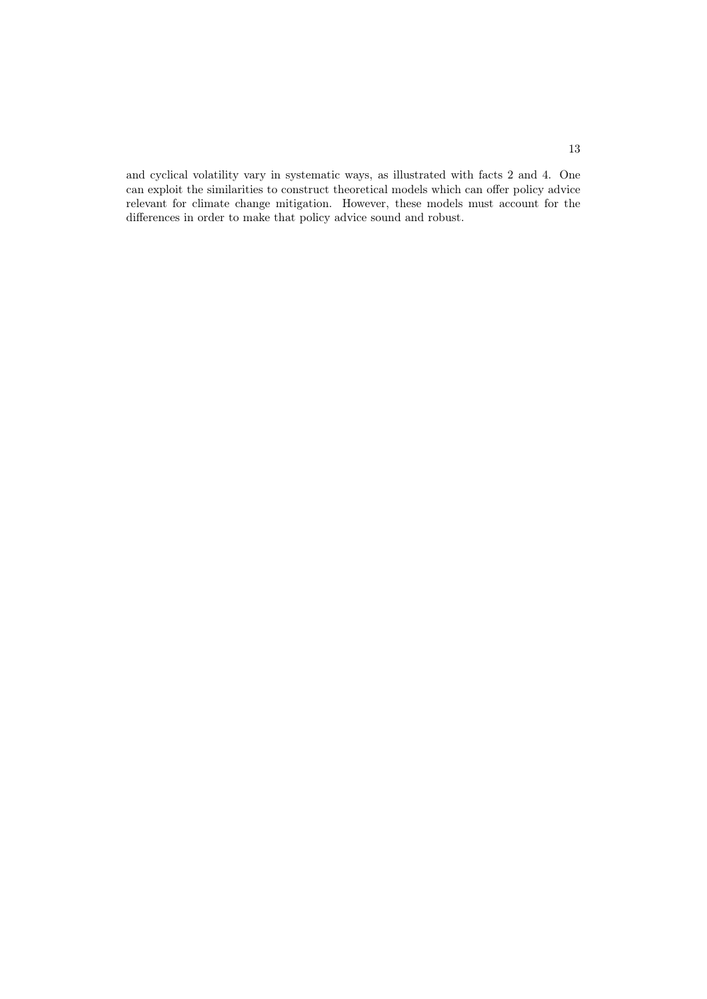and cyclical volatility vary in systematic ways, as illustrated with facts 2 and 4. One can exploit the similarities to construct theoretical models which can offer policy advice relevant for climate change mitigation. However, these models must account for the differences in order to make that policy advice sound and robust.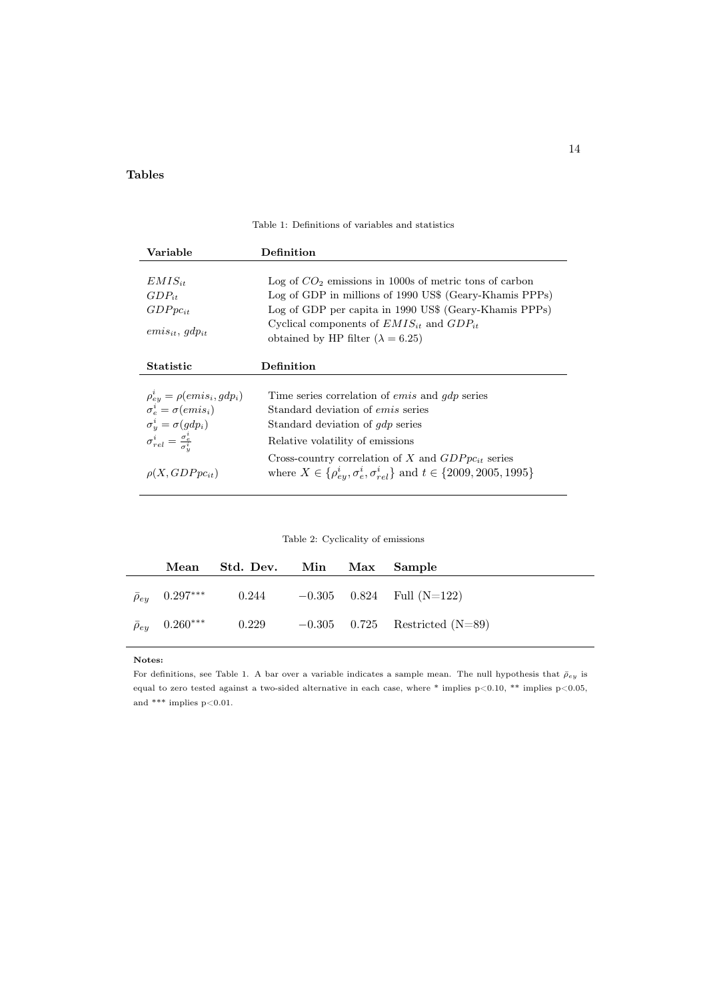## Tables

Table 1: Definitions of variables and statistics

| Variable                                         | Definition                                                                                      |
|--------------------------------------------------|-------------------------------------------------------------------------------------------------|
|                                                  |                                                                                                 |
| $EMIS_{it}$                                      | Log of $CO2$ emissions in 1000s of metric tons of carbon                                        |
| $GDP_{it}$                                       | Log of GDP in millions of 1990 US\$ (Geary-Khamis PPPs)                                         |
| $GDPpc_{it}$                                     | Log of GDP per capita in 1990 US\$ (Geary-Khamis PPPs)                                          |
| $emis_{it}, qdp_{it}$                            | Cyclical components of $EMIS_{it}$ and $GDP_{it}$<br>obtained by HP filter ( $\lambda = 6.25$ ) |
| Statistic                                        | Definition                                                                                      |
|                                                  |                                                                                                 |
|                                                  |                                                                                                 |
| $\rho_{ey}^i = \rho(emis_i, gdp_i)$              | Time series correlation of <i>emis</i> and <i>qdp</i> series                                    |
| $\sigma_e^i = \sigma(emis_i)$                    | Standard deviation of <i>emis</i> series                                                        |
| $\sigma^i_y = \sigma(gdp_i)$                     | Standard deviation of <i>qdp</i> series                                                         |
| $\sigma_{rel}^i = \frac{\sigma_e^i}{\sigma_i^i}$ | Relative volatility of emissions                                                                |

Table 2: Cyclicality of emissions

| Mean | Std. Dev. Min Max Sample         |  |                                                            |
|------|----------------------------------|--|------------------------------------------------------------|
|      |                                  |  | $\bar{\rho}_{ey}$ 0.297*** 0.244 -0.305 0.824 Full (N=122) |
|      | $\bar{\rho}_{ey}$ 0.260*** 0.229 |  | $-0.305$ 0.725 Restricted (N=89)                           |

#### Notes:

For definitions, see Table 1. A bar over a variable indicates a sample mean. The null hypothesis that  $\bar{\rho}_{ey}$  is equal to zero tested against a two-sided alternative in each case, where  $*$  implies p<0.10,  $**$  implies p<0.05, and \*\*\* implies p<0.01.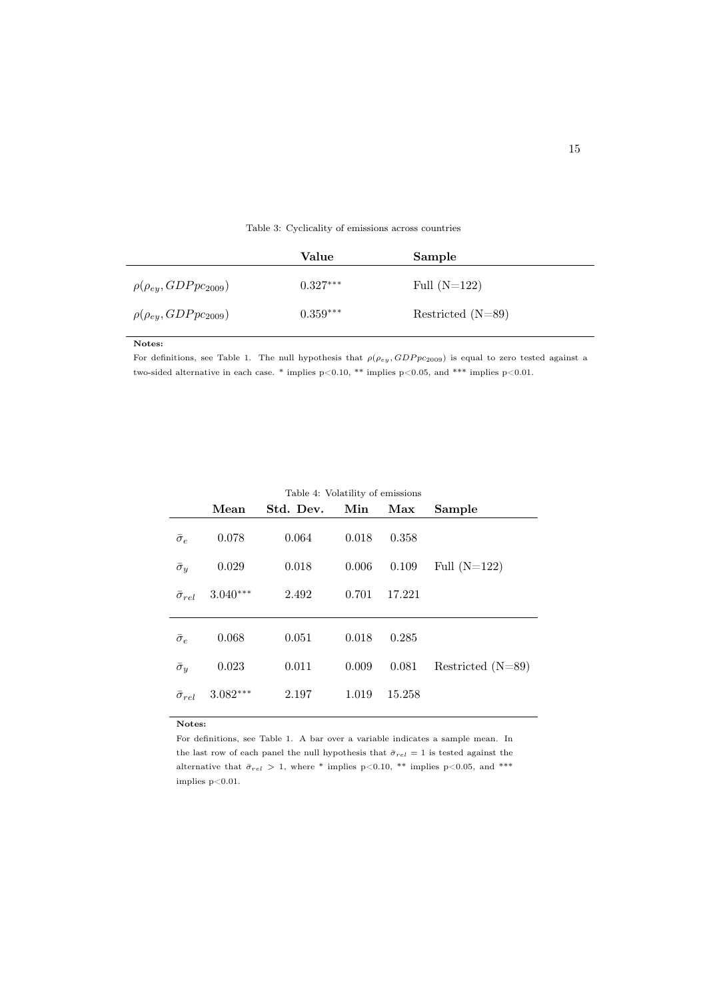|                                 | Value      | Sample              |
|---------------------------------|------------|---------------------|
| $\rho(\rho_{ey}, GDPp_{2009})$  | $0.327***$ | Full $(N=122)$      |
| $\rho(\rho_{ey}, GDPpc_{2009})$ | $0.359***$ | Restricted $(N=89)$ |

Table 3: Cyclicality of emissions across countries

Notes:

For definitions, see Table 1. The null hypothesis that  $\rho(\rho_{ey}, GDPp_{C2009})$  is equal to zero tested against a two-sided alternative in each case. \* implies p<0.10, \*\* implies p<0.05, and \*\*\* implies p<0.01.

|                      | Mean       | Std. Dev. | Min   | Max    | Sample              |
|----------------------|------------|-----------|-------|--------|---------------------|
| $\bar{\sigma}_e$     | 0.078      | 0.064     | 0.018 | 0.358  |                     |
| $\bar{\sigma}_y$     | 0.029      | 0.018     | 0.006 | 0.109  | Full $(N=122)$      |
| $\bar{\sigma}_{rel}$ | $3.040***$ | 2.492     | 0.701 | 17.221 |                     |
| $\bar{\sigma}_e$     | 0.068      | 0.051     | 0.018 | 0.285  |                     |
| $\bar{\sigma}_y$     | 0.023      | 0.011     | 0.009 | 0.081  | Restricted $(N=89)$ |
| $\bar{\sigma}_{rel}$ | $3.082***$ | 2.197     | 1.019 | 15.258 |                     |

Table 4: Volatility of emissions

Notes:

For definitions, see Table 1. A bar over a variable indicates a sample mean. In the last row of each panel the null hypothesis that  $\bar{\sigma}_{rel} = 1$  is tested against the alternative that  $\bar{\sigma}_{rel} > 1$ , where \* implies p<0.10, \*\* implies p<0.05, and \*\*\* implies  $p<0.01$ .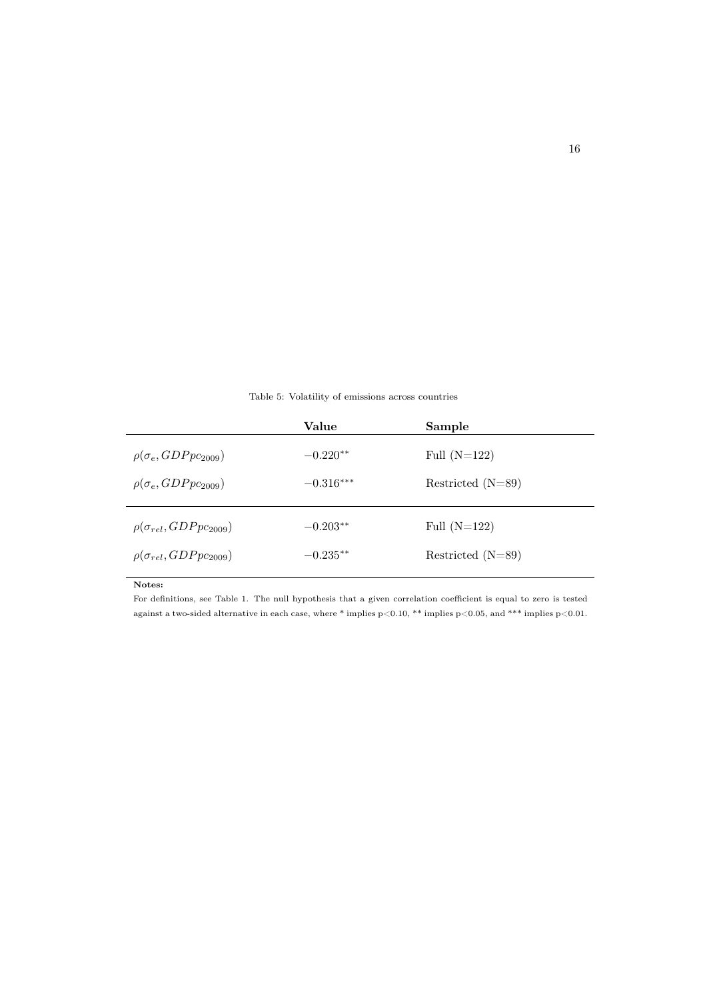|                                    | Value       | Sample              |
|------------------------------------|-------------|---------------------|
| $\rho(\sigma_e, GDPpc_{2009})$     | $-0.220**$  | Full $(N=122)$      |
| $\rho(\sigma_e, GDPpc_{2009})$     | $-0.316***$ | Restricted $(N=89)$ |
| $\rho(\sigma_{rel}, GDPpc_{2009})$ | $-0.203**$  | Full $(N=122)$      |
| $\rho(\sigma_{rel}, GDPpc_{2009})$ | $-0.235**$  | Restricted $(N=89)$ |

Table 5: Volatility of emissions across countries

### Notes:

For definitions, see Table 1. The null hypothesis that a given correlation coefficient is equal to zero is tested against a two-sided alternative in each case, where \* implies p<0.10, \*\* implies p<0.05, and \*\*\* implies p<0.01.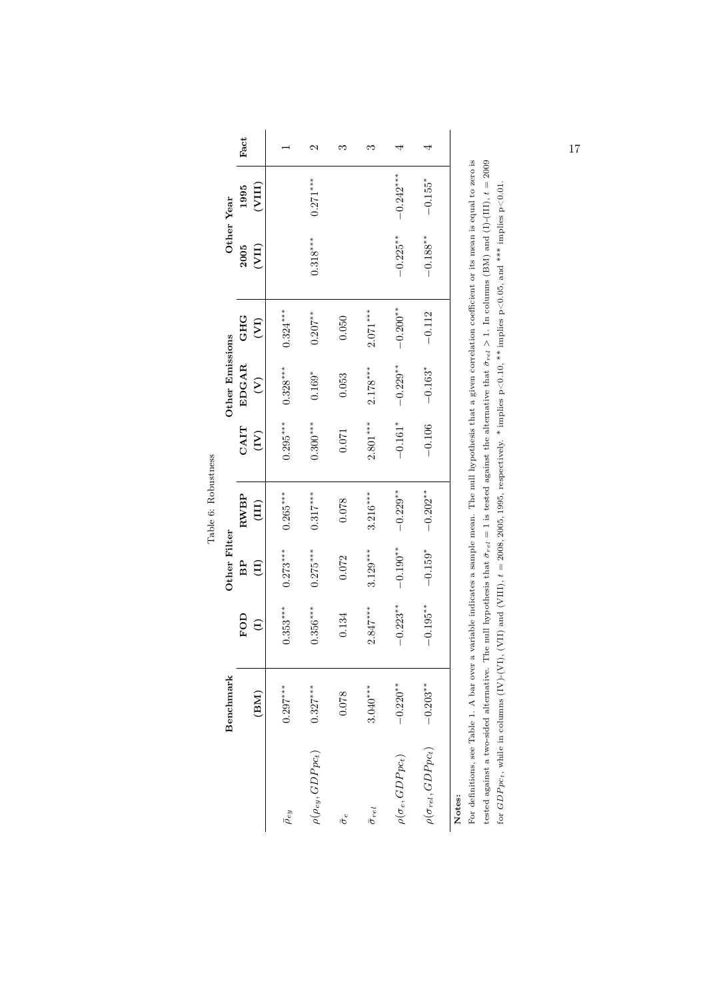Table 6: Robustness Table 6: Robustness

|                                                      | Benchmark  |            | Other Filter |            |            | Other Emissions    |            | Other Year                                                                                                                 |             |               |
|------------------------------------------------------|------------|------------|--------------|------------|------------|--------------------|------------|----------------------------------------------------------------------------------------------------------------------------|-------------|---------------|
|                                                      |            | FOD        | BP           | RWBP       | CAIT       | EDGAR              | <b>GHG</b> | 2005                                                                                                                       | 1995        | Fact          |
|                                                      | (BM)       | Ξ          | $\Xi$        | (III)      | (YI)       | $\tilde{\epsilon}$ | (VI)       | (VII)                                                                                                                      | (VIII)      |               |
| $\bar{\rho}_{ey}$                                    | $0.297***$ | $0.353***$ | $0.273***$   | $0.265***$ | $0.295***$ | $0.328***$         | $0.324***$ |                                                                                                                            |             |               |
| $\rho(\rho_{ey},GDPpc_t)$                            | $0.327***$ | $0.356***$ | $0.275***$   | $0.317***$ | $0.300***$ | $0.169*$           | $0.207***$ | $0.318***$                                                                                                                 | $0.271***$  | $\mathcal{C}$ |
| $\bar{\sigma}_e$                                     | 0.078      | 0.134      | 0.072        | 0.078      | 0.071      | 0.053              | 0.050      |                                                                                                                            |             | 3             |
| $\bar{\sigma}_{rel}$                                 | $3.040***$ | $2.847***$ | $3.129***$   | $3.216***$ | $2.801***$ | $2.178***$         | $2.071***$ |                                                                                                                            |             | S             |
| $\rho(\sigma_e, GDPpc_t)$                            | $-0.220**$ | $-0.223**$ | $-0.190**$   | $-0.229**$ | $-0.161*$  | $-0.229**$         | $-0.200**$ | $-0.225***$                                                                                                                | $-0.242***$ |               |
| $\rho(\sigma_{rel},GDPpc_t)$                         | $-0.203**$ | $-0.195**$ | $-0.159*$    | $-0.202**$ | $-0.106$   | $-0.163*$          | $-0.112$   | $-0.188**$                                                                                                                 | $-0.155*$   | 4             |
| For definitions, see Table 1. A bar over a<br>Notes: |            |            |              |            |            |                    |            | variable indicates a sample mean. The null hypothesis that a given correlation coefficient or its mean is equal to zero is |             |               |

tested against a two-sided alternative. The null hypothesis that  $\bar{\sigma}_{rel} = 1$  is tested against the alternative that  $\bar{\sigma}_{rel} > 1$ . In columns (BM) and (I)-(III),  $t = 2009$ tested against a two-sided alternative. The null hypothesis that  $\bar{\sigma}_{rel} = 1$  is tested against the alternative that  $\bar{\sigma}_{rel} > 1$ . In columns (BM) and (I)-(III),  $t = 2009$ for  $GDPpe_t$ , while in columns (IV)-(VI), (VII) and (VIII),  $t = 2008$ , 2005, 1995, respectively. \* implies  $p<0.10$ , \*\* implies  $p<0.05$ , and \*\*\* implies  $p<0.01$ . for GDP  $p_{c4}$ , while in columns (IV)-(VI), (VIII),  $t = 2008$ , 2008, 2005, respectively. \* implies  $p < 0.10$ , \*\* implies  $p < 0.05$ , and \*\*\* implies  $p < 0.01$ .

17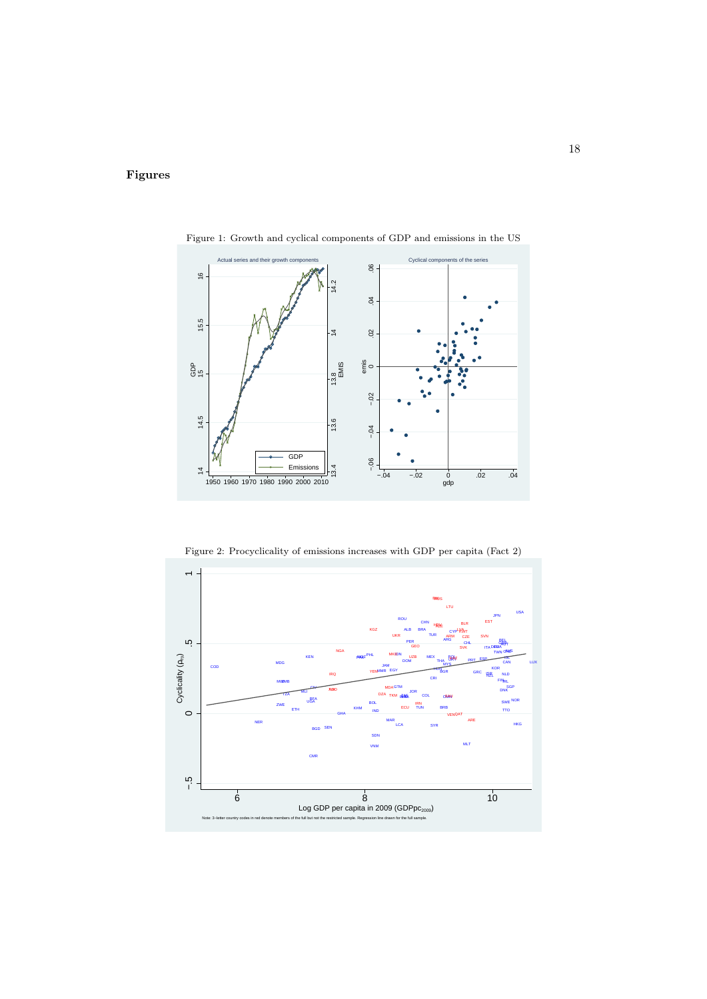# Figures



Figure 1: Growth and cyclical components of GDP and emissions in the US

Figure 2: Procyclicality of emissions increases with GDP per capita (Fact 2)

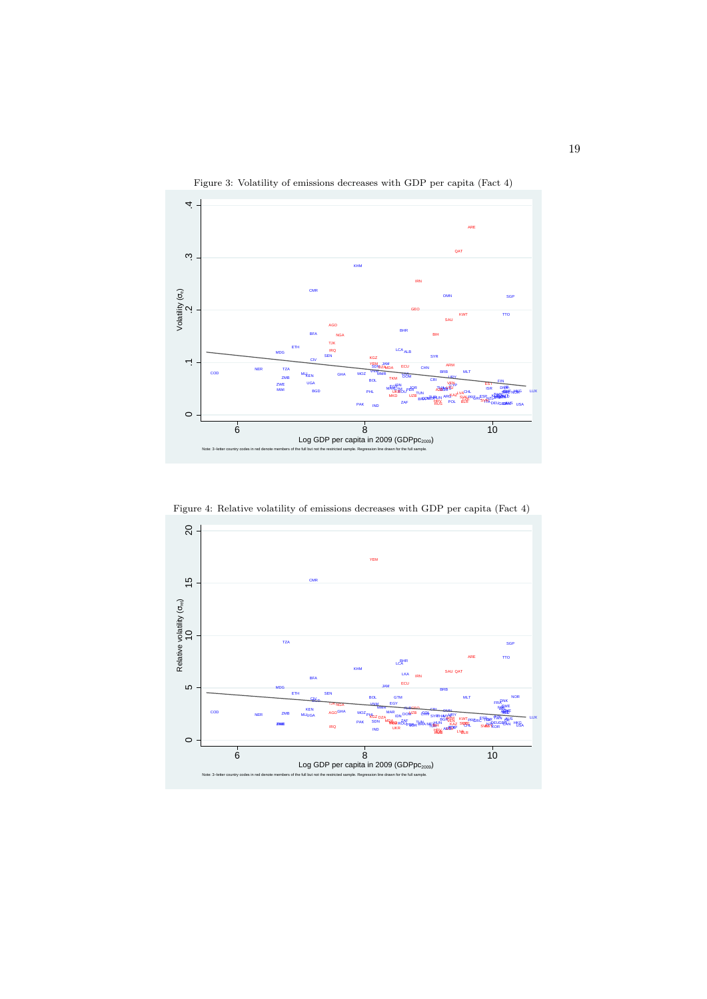

Figure 3: Volatility of emissions decreases with GDP per capita (Fact 4)



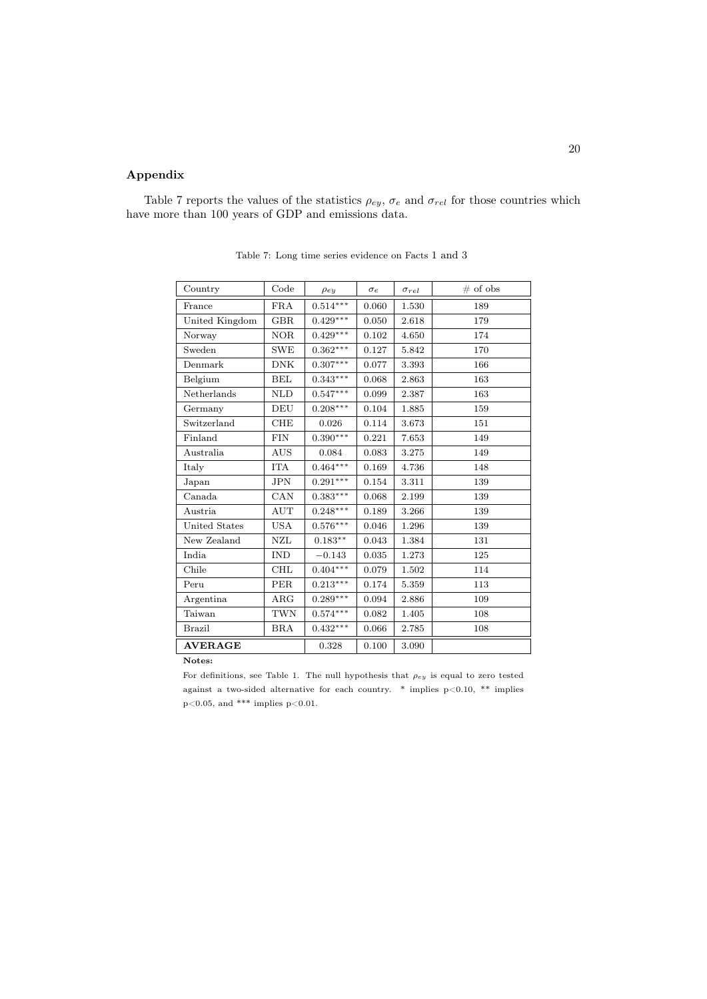# Appendix

Table 7 reports the values of the statistics  $\rho_{ey}$ ,  $\sigma_e$  and  $\sigma_{rel}$  for those countries which have more than 100 years of GDP and emissions data.

| Country        | Code        | $\rho_{ey}$ | $\sigma_e$ | $\sigma_{rel}$ | $#$ of obs |
|----------------|-------------|-------------|------------|----------------|------------|
| France         | ${\rm FRA}$ | $0.514***$  | 0.060      | 1.530          | 189        |
| United Kingdom | GBR         | $0.429***$  | 0.050      | 2.618          | 179        |
| Norway         | <b>NOR</b>  | $0.429***$  | 0.102      | 4.650          | 174        |
| Sweden         | <b>SWE</b>  | $0.362***$  | 0.127      | 5.842          | 170        |
| Denmark        | <b>DNK</b>  | $0.307***$  | 0.077      | 3.393          | 166        |
| Belgium        | <b>BEL</b>  | $0.343***$  | 0.068      | 2.863          | 163        |
| Netherlands    | NLD         | $0.547***$  | 0.099      | 2.387          | 163        |
| Germany        | <b>DEU</b>  | $0.208***$  | 0.104      | 1.885          | 159        |
| Switzerland    | <b>CHE</b>  | 0.026       | 0.114      | 3.673          | 151        |
| Finland        | <b>FIN</b>  | $0.390***$  | 0.221      | 7.653          | 149        |
| Australia      | <b>AUS</b>  | 0.084       | 0.083      | 3.275          | 149        |
| Italy          | <b>ITA</b>  | $0.464***$  | 0.169      | 4.736          | 148        |
| Japan          | <b>JPN</b>  | $0.291***$  | 0.154      | 3.311          | 139        |
| Canada         | CAN         | $0.383***$  | 0.068      | 2.199          | 139        |
| Austria        | AUT         | $0.248***$  | 0.189      | 3.266          | 139        |
| United States  | <b>USA</b>  | $0.576***$  | 0.046      | 1.296          | 139        |
| New Zealand    | <b>NZL</b>  | $0.183**$   | 0.043      | 1.384          | 131        |
| India          | <b>IND</b>  | $-0.143$    | 0.035      | 1.273          | 125        |
| Chile          | <b>CHL</b>  | $0.404***$  | 0.079      | 1.502          | 114        |
| Peru           | <b>PER</b>  | $0.213***$  | 0.174      | 5.359          | 113        |
| Argentina      | $\rm{ARG}$  | $0.289***$  | 0.094      | 2.886          | 109        |
| Taiwan         | <b>TWN</b>  | $0.574***$  | 0.082      | 1.405          | 108        |
| <b>Brazil</b>  | <b>BRA</b>  | $0.432***$  | 0.066      | 2.785          | 108        |
| <b>AVERAGE</b> |             | 0.328       | 0.100      | 3.090          |            |

Table 7: Long time series evidence on Facts 1 and 3

Notes:

For definitions, see Table 1. The null hypothesis that  $\rho_{ey}$  is equal to zero tested against a two-sided alternative for each country.  $*$  implies p $< 0.10, **$  implies p<0.05, and \*\*\* implies p<0.01.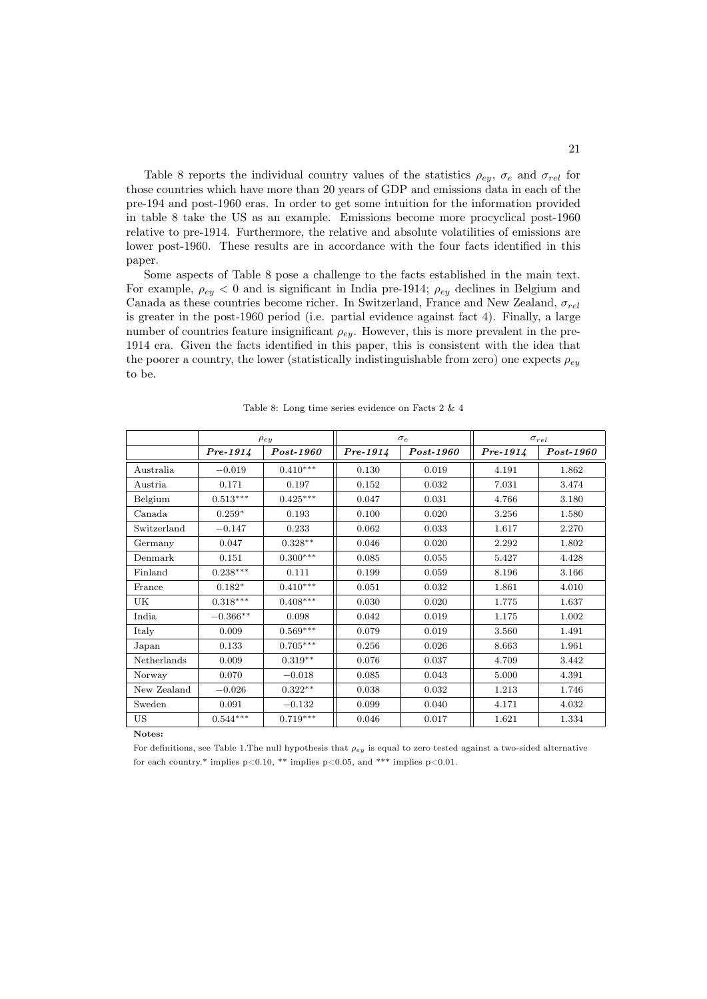Table 8 reports the individual country values of the statistics  $\rho_{ev}$ ,  $\sigma_e$  and  $\sigma_{rel}$  for those countries which have more than 20 years of GDP and emissions data in each of the pre-194 and post-1960 eras. In order to get some intuition for the information provided in table 8 take the US as an example. Emissions become more procyclical post-1960 relative to pre-1914. Furthermore, the relative and absolute volatilities of emissions are lower post-1960. These results are in accordance with the four facts identified in this paper.

Some aspects of Table 8 pose a challenge to the facts established in the main text. For example,  $\rho_{ey} < 0$  and is significant in India pre-1914;  $\rho_{ey}$  declines in Belgium and Canada as these countries become richer. In Switzerland, France and New Zealand,  $\sigma_{rel}$ is greater in the post-1960 period (i.e. partial evidence against fact 4). Finally, a large number of countries feature insignificant  $\rho_{ev}$ . However, this is more prevalent in the pre-1914 era. Given the facts identified in this paper, this is consistent with the idea that the poorer a country, the lower (statistically indistinguishable from zero) one expects  $\rho_{ey}$ to be.

|             | $\rho_{ey}$ |                 |            | $\sigma_e$ | $\sigma_{rel}$ |           |  |
|-------------|-------------|-----------------|------------|------------|----------------|-----------|--|
|             | $Pre-1914$  | Post-1960       | $Pre-1914$ | Post-1960  | $Pre-1914$     | Post-1960 |  |
| Australia   | $-0.019$    | $0.410***$      | 0.130      | 0.019      | 4.191          | 1.862     |  |
| Austria     | 0.171       | 0.197           | 0.152      | 0.032      | 7.031          | 3.474     |  |
| Belgium     | $0.513***$  | $0.425***$      | 0.047      | 0.031      | 4.766          | 3.180     |  |
| Canada      | $0.259*$    | 0.193           | 0.100      | 0.020      | 3.256          | 1.580     |  |
| Switzerland | $-0.147$    | 0.233           | 0.062      | 0.033      | 1.617          | 2.270     |  |
| Germany     | 0.047       | $0.328**$       | 0.046      | 0.020      | 2.292          | 1.802     |  |
| Denmark     | 0.151       | $0.300***$      | 0.085      | 0.055      | 5.427          | 4.428     |  |
| Finland     | $0.238***$  | 0.111           | 0.199      | 0.059      | 8.196          | 3.166     |  |
| France      | $0.182*$    | $0.410***$      | 0.051      | 0.032      | 1.861          | 4.010     |  |
| UK          | $0.318***$  | $0.408***$      | 0.030      | 0.020      | 1.775          | 1.637     |  |
| India.      | $-0.366**$  | 0.098           | 0.042      | 0.019      | 1.175          | 1.002     |  |
| Italy       | 0.009       | $0.569***$      | 0.079      | 0.019      | 3.560          | 1.491     |  |
| Japan       | 0.133       | $0.705^{***}\,$ | 0.256      | 0.026      | 8.663          | 1.961     |  |
| Netherlands | 0.009       | $0.319**$       | 0.076      | 0.037      | 4.709          | 3.442     |  |
| Norway      | 0.070       | $-0.018$        | 0.085      | 0.043      | 5.000          | 4.391     |  |
| New Zealand | $-0.026$    | $0.322**$       | 0.038      | 0.032      | 1.213          | 1.746     |  |
| Sweden      | 0.091       | $-0.132$        | 0.099      | 0.040      | 4.171          | 4.032     |  |
| US          | $0.544***$  | $0.719***$      | 0.046      | 0.017      | 1.621          | 1.334     |  |

Table 8: Long time series evidence on Facts 2 & 4

Notes:

For definitions, see Table 1.The null hypothesis that  $\rho_{ey}$  is equal to zero tested against a two-sided alternative for each country.\* implies  $p<0.10$ , \*\* implies  $p<0.05$ , and \*\*\* implies  $p<0.01$ .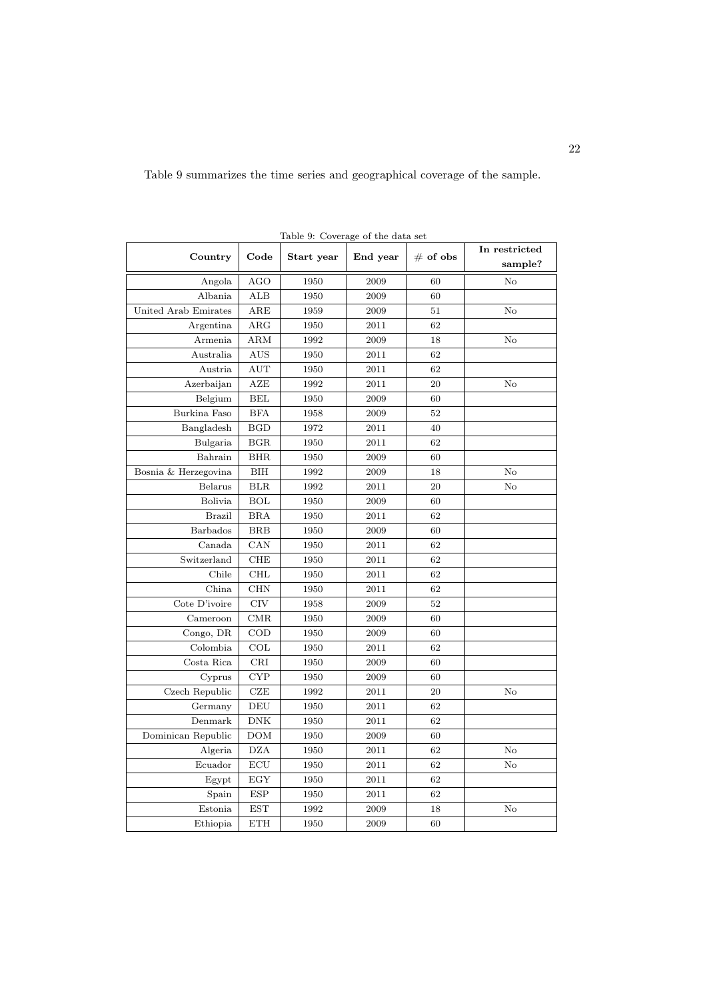Table 9 summarizes the time series and geographical coverage of the sample.

| Country              | Code          | Start year | End year | $#$ of obs | In restricted<br>sample? |
|----------------------|---------------|------------|----------|------------|--------------------------|
| Angola               | <b>AGO</b>    | 1950       | 2009     | 60         | No                       |
| Albania              | ALB           | 1950       | 2009     | 60         |                          |
| United Arab Emirates | $_{\rm ARE}$  | 1959       | 2009     | 51         | No                       |
| Argentina            | $\rm{ARG}$    | 1950       | 2011     | 62         |                          |
| Armenia              | ARM           | 1992       | 2009     | 18         | No                       |
| Australia            | AUS           | 1950       | 2011     | 62         |                          |
| Austria              | <b>AUT</b>    | 1950       | 2011     | 62         |                          |
| Azerbaijan           | AZE           | 1992       | 2011     | 20         | No                       |
| Belgium              | BEL           | 1950       | 2009     | 60         |                          |
| Burkina Faso         | <b>BFA</b>    | 1958       | 2009     | 52         |                          |
| Bangladesh           | <b>BGD</b>    | 1972       | 2011     | 40         |                          |
| Bulgaria             | BGR           | 1950       | 2011     | 62         |                          |
| Bahrain              | <b>BHR</b>    | 1950       | 2009     | 60         |                          |
| Bosnia & Herzegovina | <b>BIH</b>    | 1992       | 2009     | 18         | No                       |
| Belarus              | <b>BLR</b>    | 1992       | 2011     | 20         | No                       |
| Bolivia              | <b>BOL</b>    | 1950       | 2009     | 60         |                          |
| <b>Brazil</b>        | <b>BRA</b>    | 1950       | 2011     | 62         |                          |
| <b>Barbados</b>      | <b>BRB</b>    | $1950\,$   | 2009     | 60         |                          |
| Canada               | CAN           | 1950       | 2011     | 62         |                          |
| Switzerland          | <b>CHE</b>    | 1950       | 2011     | 62         |                          |
| Chile                | <b>CHL</b>    | 1950       | 2011     | 62         |                          |
| China                | <b>CHN</b>    | 1950       | 2011     | 62         |                          |
| Cote D'ivoire        | <b>CIV</b>    | 1958       | 2009     | 52         |                          |
| Cameroon             | $_{\rm{CMR}}$ | 1950       | 2009     | 60         |                          |
| Congo, DR            | $\rm{COD}$    | 1950       | 2009     | 60         |                          |
| Colombia             | COL           | 1950       | 2011     | 62         |                          |
| Costa Rica           | CRI           | 1950       | 2009     | 60         |                          |
| Cyprus               | <b>CYP</b>    | 1950       | 2009     | 60         |                          |
| Czech Republic       | CZE           | 1992       | 2011     | 20         | $\rm No$                 |
| Germany              | DEU           | 1950       | 2011     | 62         |                          |
| Denmark              | <b>DNK</b>    | 1950       | 2011     | 62         |                          |
| Dominican Republic   | <b>DOM</b>    | 1950       | 2009     | 60         |                          |
| Algeria              | <b>DZA</b>    | 1950       | 2011     | 62         | No                       |
| Ecuador              | ECU           | 1950       | 2011     | 62         | No                       |
| Egypt                | EGY           | 1950       | 2011     | 62         |                          |
| Spain                | <b>ESP</b>    | 1950       | 2011     | 62         |                          |
| Estonia              | <b>EST</b>    | 1992       | 2009     | 18         | No                       |
| Ethiopia             | <b>ETH</b>    | 1950       | 2009     | 60         |                          |

Table 9: Coverage of the data set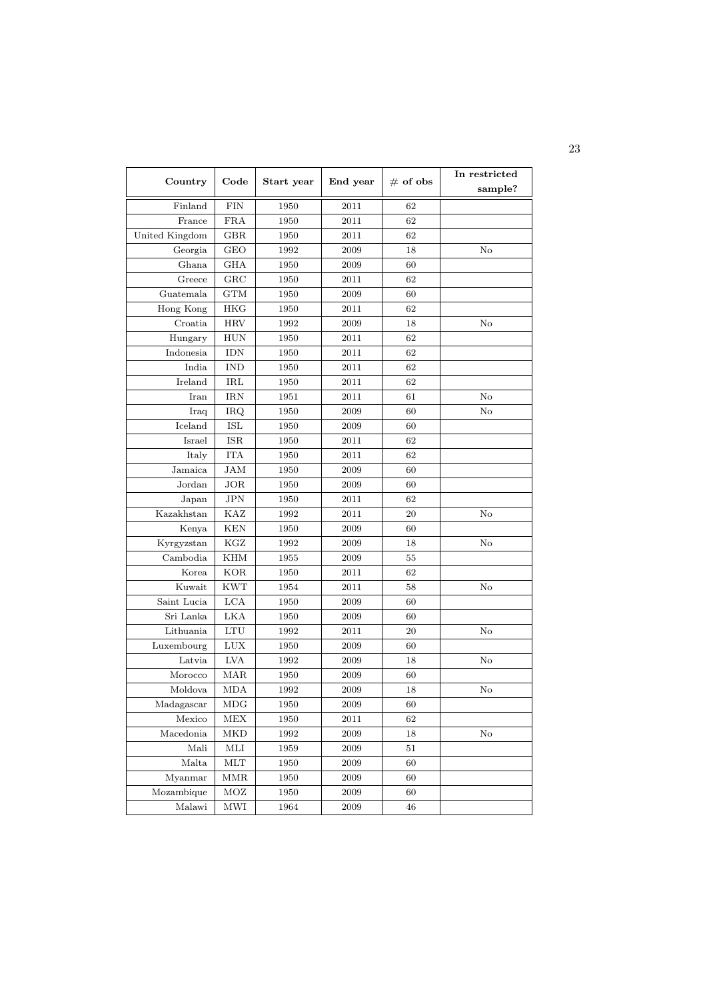| Country        | $_{\rm Code}$        | Start year | End year | $#$ of obs | In restricted<br>sample? |
|----------------|----------------------|------------|----------|------------|--------------------------|
| Finland        | FIN                  | 1950       | 2011     | 62         |                          |
| France         | <b>FRA</b>           | 1950       | 2011     | 62         |                          |
| United Kingdom | GBR                  | 1950       | 2011     | 62         |                          |
| Georgia        | <b>GEO</b>           | 1992       | 2009     | 18         | No                       |
| Ghana          | <b>GHA</b>           | 1950       | 2009     | 60         |                          |
| Greece         | GRC                  | 1950       | 2011     | 62         |                          |
| Guatemala      | <b>GTM</b>           | 1950       | 2009     | 60         |                          |
| Hong Kong      | HKG                  | 1950       | 2011     | 62         |                          |
| Croatia        | <b>HRV</b>           | 1992       | 2009     | 18         | No                       |
| Hungary        | <b>HUN</b>           | 1950       | 2011     | 62         |                          |
| Indonesia      | <b>IDN</b>           | 1950       | 2011     | 62         |                          |
| India          | <b>IND</b>           | 1950       | 2011     | 62         |                          |
| Ireland        | IRL                  | 1950       | 2011     | 62         |                          |
| Iran           | <b>IRN</b>           | 1951       | 2011     | 61         | $\rm No$                 |
| Iraq           | IRQ                  | 1950       | 2009     | 60         | $\rm No$                 |
| Iceland        | ISL                  | 1950       | 2009     | 60         |                          |
| Israel         | <b>ISR</b>           | 1950       | 2011     | 62         |                          |
| Italy          | ${\rm ITA}$          | 1950       | 2011     | 62         |                          |
| Jamaica        | <b>JAM</b>           | 1950       | 2009     | 60         |                          |
| Jordan         | <b>JOR</b>           | 1950       | 2009     | 60         |                          |
| Japan          | JPN                  | 1950       | 2011     | 62         |                          |
| Kazakhstan     | KAZ                  | 1992       | 2011     | 20         | $\rm No$                 |
| Kenya          | <b>KEN</b>           | 1950       | 2009     | 60         |                          |
| Kyrgyzstan     | KGZ                  | 1992       | 2009     | 18         | No                       |
| Cambodia       | <b>KHM</b>           | 1955       | 2009     | 55         |                          |
| Korea          | KOR                  | 1950       | 2011     | 62         |                          |
| Kuwait         | <b>KWT</b>           | 1954       | 2011     | 58         | No                       |
| Saint Lucia    | <b>LCA</b>           | 1950       | 2009     | 60         |                          |
| Sri Lanka      | LKA                  | 1950       | 2009     | 60         |                          |
| Lithuania      | LTU                  | 1992       | 2011     | 20         | No                       |
| Luxembourg     | LUX                  | 1950       | 2009     | 60         |                          |
| Latvia         | <b>LVA</b>           | 1992       | 2009     | 18         | No                       |
| Morocco        | MAR                  | 1950       | 2009     | 60         |                          |
| Moldova        | <b>MDA</b>           | 1992       | 2009     | 18         | No                       |
| Madagascar     | MDG                  | 1950       | $2009\,$ | 60         |                          |
| Mexico         | MEX                  | 1950       | $2011\,$ | 62         |                          |
| Macedonia      | MKD                  | 1992       | 2009     | $18\,$     | No                       |
| Mali           | MLI                  | 1959       | 2009     | 51         |                          |
| Malta          | $\operatorname{MLT}$ | 1950       | 2009     | 60         |                          |
| Myanmar        | MMR                  | 1950       | 2009     | 60         |                          |
| Mozambique     | MOZ                  | 1950       | 2009     | 60         |                          |
| Malawi         | MWI                  | 1964       | 2009     | 46         |                          |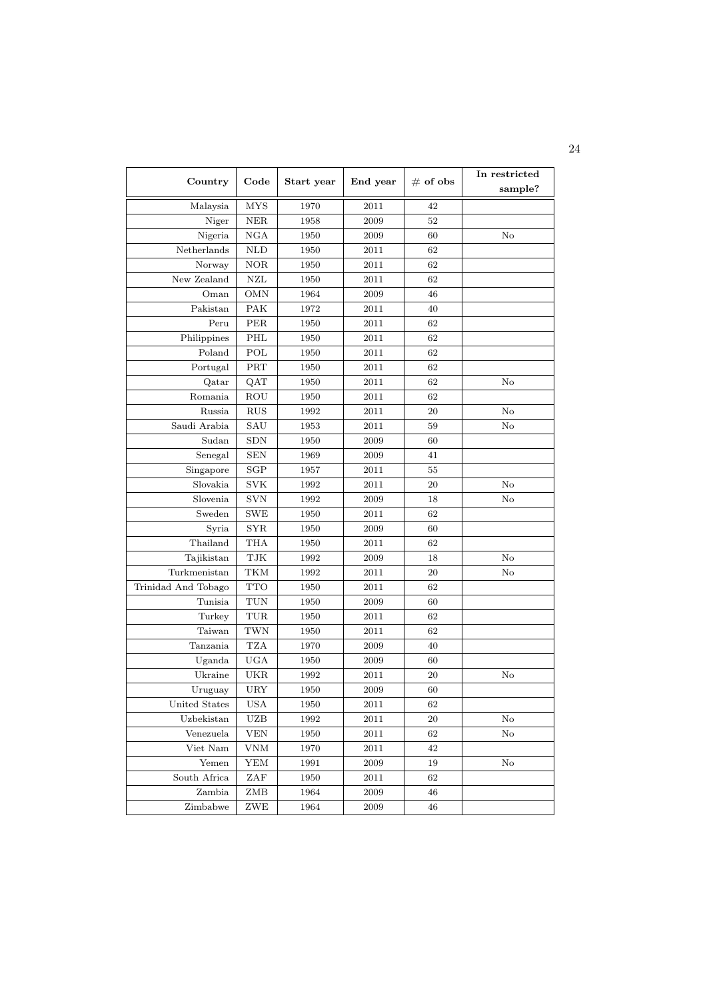| Country             | $_{\rm Code}$ | Start year | End year | $#$ of obs | In restricted<br>sample? |
|---------------------|---------------|------------|----------|------------|--------------------------|
| Malaysia            | <b>MYS</b>    | 1970       | 2011     | 42         |                          |
| Niger               | ${\rm NER}$   | 1958       | 2009     | 52         |                          |
| Nigeria             | NGA           | 1950       | 2009     | 60         | No                       |
| Netherlands         | <b>NLD</b>    | 1950       | 2011     | 62         |                          |
| Norway              | NOR           | 1950       | 2011     | 62         |                          |
| New Zealand         | NZL           | 1950       | 2011     | 62         |                          |
| Oman                | <b>OMN</b>    | 1964       | 2009     | 46         |                          |
| Pakistan            | PAK           | 1972       | 2011     | 40         |                          |
| Peru                | PER           | 1950       | 2011     | 62         |                          |
| Philippines         | PHL           | 1950       | 2011     | 62         |                          |
| Poland              | POL           | 1950       | 2011     | 62         |                          |
| Portugal            | PRT           | 1950       | 2011     | 62         |                          |
| Qatar               | QAT           | 1950       | 2011     | 62         | No                       |
| Romania             | ROU           | 1950       | 2011     | 62         |                          |
| Russia              | <b>RUS</b>    | 1992       | 2011     | 20         | No                       |
| Saudi Arabia        | SAU           | 1953       | 2011     | 59         | No                       |
| Sudan               | <b>SDN</b>    | 1950       | 2009     | 60         |                          |
| Senegal             | <b>SEN</b>    | 1969       | 2009     | 41         |                          |
| Singapore           | SGP           | 1957       | 2011     | 55         |                          |
| Slovakia            | SVK           | 1992       | 2011     | 20         | $\rm No$                 |
| Slovenia            | <b>SVN</b>    | 1992       | 2009     | 18         | $\rm No$                 |
| Sweden              | <b>SWE</b>    | 1950       | 2011     | 62         |                          |
| Syria               | <b>SYR</b>    | 1950       | 2009     | 60         |                          |
| Thailand            | THA           | 1950       | 2011     | 62         |                          |
| Tajikistan          | TJK           | 1992       | 2009     | 18         | $\rm No$                 |
| Turkmenistan        | TKM           | 1992       | 2011     | 20         | $\rm No$                 |
| Trinidad And Tobago | <b>TTO</b>    | 1950       | 2011     | 62         |                          |
| Tunisia             | TUN           | 1950       | 2009     | 60         |                          |
| Turkey              | TUR           | 1950       | 2011     | 62         |                          |
| Taiwan              | TWN           | 1950       | 2011     | 62         |                          |
| Tanzania            | TZA           | 1970       | 2009     | 40         |                          |
| Uganda              | <b>UGA</b>    | 1950       | 2009     | 60         |                          |
| Ukraine             | UKR           | 1992       | 2011     | 20         | $\rm No$                 |
| Uruguay             | <b>URY</b>    | 1950       | 2009     | 60         |                          |
| United States       | <b>USA</b>    | 1950       | 2011     | 62         |                          |
| Uzbekistan          | UZB           | 1992       | 2011     | 20         | No                       |
| Venezuela           | <b>VEN</b>    | 1950       | 2011     | 62         | No                       |
| Viet Nam            | <b>VNM</b>    | 1970       | 2011     | 42         |                          |
| Yemen               | YEM           | 1991       | 2009     | 19         | No                       |
| South Africa        | ZAF           | 1950       | 2011     | 62         |                          |
| Zambia              | ZMB           | 1964       | 2009     | 46         |                          |
| Zimbabwe            | ZWE           | 1964       | 2009     | 46         |                          |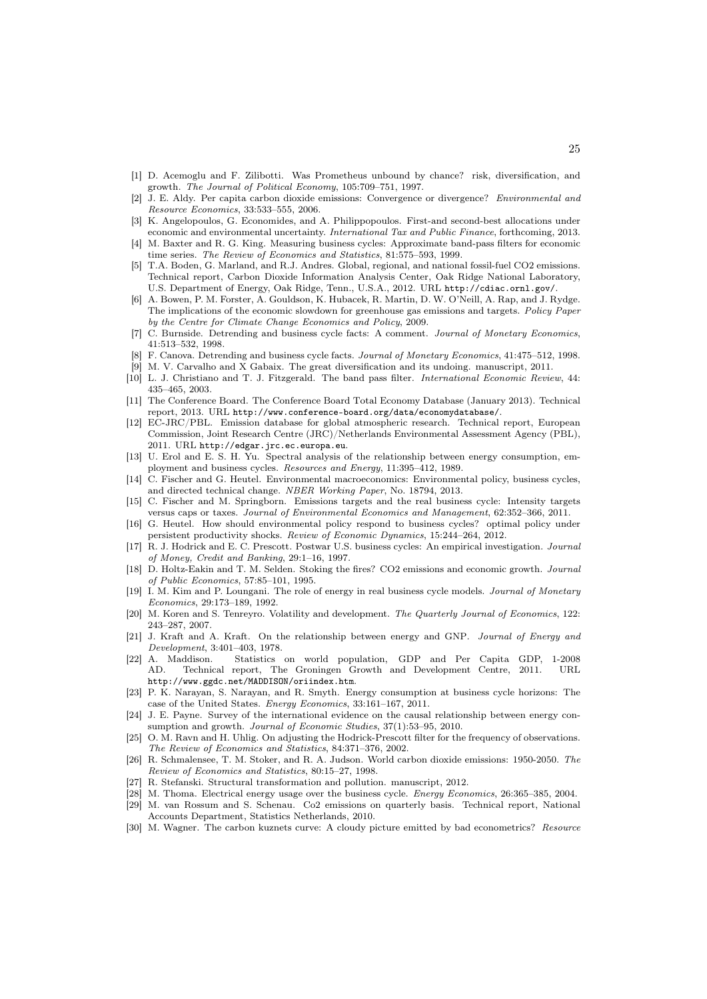- [1] D. Acemoglu and F. Zilibotti. Was Prometheus unbound by chance? risk, diversification, and growth. The Journal of Political Economy, 105:709–751, 1997.
- [2] J. E. Aldy. Per capita carbon dioxide emissions: Convergence or divergence? Environmental and Resource Economics, 33:533–555, 2006.
- [3] K. Angelopoulos, G. Economides, and A. Philippopoulos. First-and second-best allocations under economic and environmental uncertainty. International Tax and Public Finance, forthcoming, 2013.
- [4] M. Baxter and R. G. King. Measuring business cycles: Approximate band-pass filters for economic time series. The Review of Economics and Statistics, 81:575–593, 1999.
- [5] T.A. Boden, G. Marland, and R.J. Andres. Global, regional, and national fossil-fuel CO2 emissions. Technical report, Carbon Dioxide Information Analysis Center, Oak Ridge National Laboratory, U.S. Department of Energy, Oak Ridge, Tenn., U.S.A., 2012. URL http://cdiac.ornl.gov/.
- [6] A. Bowen, P. M. Forster, A. Gouldson, K. Hubacek, R. Martin, D. W. O'Neill, A. Rap, and J. Rydge. The implications of the economic slowdown for greenhouse gas emissions and targets. Policy Paper by the Centre for Climate Change Economics and Policy, 2009.
- [7] C. Burnside. Detrending and business cycle facts: A comment. Journal of Monetary Economics, 41:513–532, 1998.
- [8] F. Canova. Detrending and business cycle facts. Journal of Monetary Economics, 41:475–512, 1998.
- [9] M. V. Carvalho and X Gabaix. The great diversification and its undoing. manuscript, 2011. [10] L. J. Christiano and T. J. Fitzgerald. The band pass filter. International Economic Review, 44:
- 435–465, 2003.
- [11] The Conference Board. The Conference Board Total Economy Database (January 2013). Technical report, 2013. URL http://www.conference-board.org/data/economydatabase/.
- [12] EC-JRC/PBL. Emission database for global atmospheric research. Technical report, European Commission, Joint Research Centre (JRC)/Netherlands Environmental Assessment Agency (PBL), 2011. URL http://edgar.jrc.ec.europa.eu.
- [13] U. Erol and E. S. H. Yu. Spectral analysis of the relationship between energy consumption, employment and business cycles. Resources and Energy, 11:395–412, 1989.
- [14] C. Fischer and G. Heutel. Environmental macroeconomics: Environmental policy, business cycles, and directed technical change. NBER Working Paper, No. 18794, 2013.
- [15] C. Fischer and M. Springborn. Emissions targets and the real business cycle: Intensity targets versus caps or taxes. Journal of Environmental Economics and Management, 62:352–366, 2011.
- [16] G. Heutel. How should environmental policy respond to business cycles? optimal policy under persistent productivity shocks. Review of Economic Dynamics, 15:244–264, 2012.
- [17] R. J. Hodrick and E. C. Prescott. Postwar U.S. business cycles: An empirical investigation. Journal of Money, Credit and Banking, 29:1–16, 1997.
- [18] D. Holtz-Eakin and T. M. Selden. Stoking the fires? CO2 emissions and economic growth. Journal of Public Economics, 57:85–101, 1995.
- [19] I. M. Kim and P. Loungani. The role of energy in real business cycle models. Journal of Monetary Economics, 29:173–189, 1992.
- [20] M. Koren and S. Tenreyro. Volatility and development. The Quarterly Journal of Economics, 122: 243–287, 2007.
- [21] J. Kraft and A. Kraft. On the relationship between energy and GNP. Journal of Energy and Development, 3:401–403, 1978.
- [22] A. Maddison. Statistics on world population, GDP and Per Capita GDP, 1-2008 Technical report, The Groningen Growth and Development Centre, 2011. URL http://www.ggdc.net/MADDISON/oriindex.htm.
- [23] P. K. Narayan, S. Narayan, and R. Smyth. Energy consumption at business cycle horizons: The case of the United States. Energy Economics, 33:161–167, 2011.
- [24] J. E. Payne. Survey of the international evidence on the causal relationship between energy consumption and growth. Journal of Economic Studies, 37(1):53–95, 2010.
- [25] O. M. Ravn and H. Uhlig. On adjusting the Hodrick-Prescott filter for the frequency of observations. The Review of Economics and Statistics, 84:371–376, 2002.
- [26] R. Schmalensee, T. M. Stoker, and R. A. Judson. World carbon dioxide emissions: 1950-2050. The Review of Economics and Statistics, 80:15–27, 1998.
- [27] R. Stefanski. Structural transformation and pollution. manuscript, 2012.
- [28] M. Thoma. Electrical energy usage over the business cycle. *Energy Economics*, 26:365-385, 2004.
- [29] M. van Rossum and S. Schenau. Co2 emissions on quarterly basis. Technical report, National Accounts Department, Statistics Netherlands, 2010.
- [30] M. Wagner. The carbon kuznets curve: A cloudy picture emitted by bad econometrics? Resource